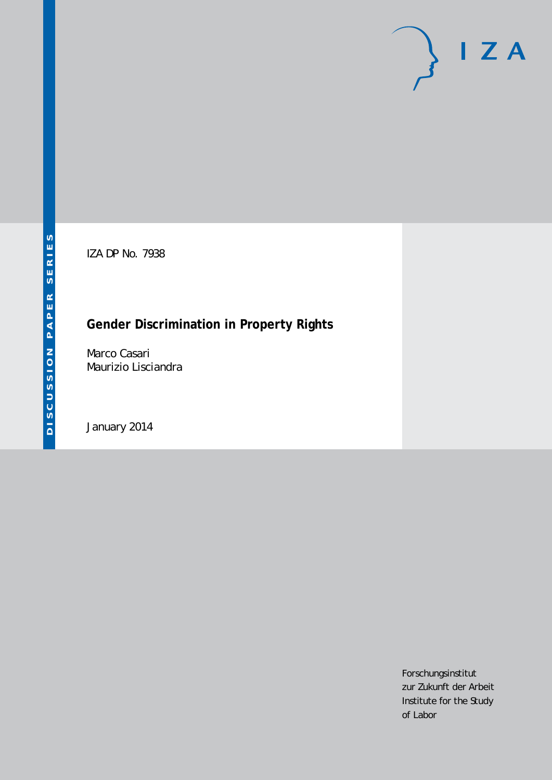IZA DP No. 7938

# **Gender Discrimination in Property Rights**

Marco Casari Maurizio Lisciandra

January 2014

Forschungsinstitut zur Zukunft der Arbeit Institute for the Study of Labor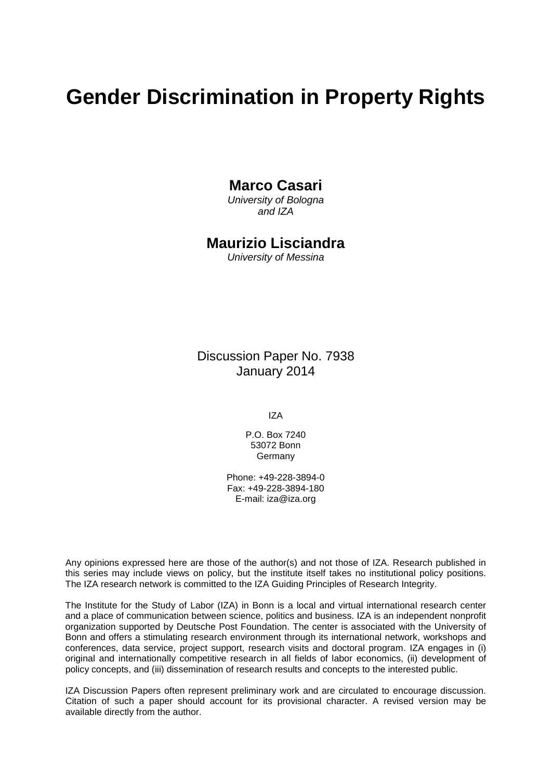# **Gender Discrimination in Property Rights**

# **Marco Casari**

*University of Bologna and IZA*

# **Maurizio Lisciandra**

*University of Messina*

Discussion Paper No. 7938 January 2014

IZA

P.O. Box 7240 53072 Bonn Germany

Phone: +49-228-3894-0 Fax: +49-228-3894-180 E-mail: [iza@iza.org](mailto:iza@iza.org)

Any opinions expressed here are those of the author(s) and not those of IZA. Research published in this series may include views on policy, but the institute itself takes no institutional policy positions. The IZA research network is committed to the IZA Guiding Principles of Research Integrity.

The Institute for the Study of Labor (IZA) in Bonn is a local and virtual international research center and a place of communication between science, politics and business. IZA is an independent nonprofit organization supported by Deutsche Post Foundation. The center is associated with the University of Bonn and offers a stimulating research environment through its international network, workshops and conferences, data service, project support, research visits and doctoral program. IZA engages in (i) original and internationally competitive research in all fields of labor economics, (ii) development of policy concepts, and (iii) dissemination of research results and concepts to the interested public.

<span id="page-1-0"></span>IZA Discussion Papers often represent preliminary work and are circulated to encourage discussion. Citation of such a paper should account for its provisional character. A revised version may be available directly from the author.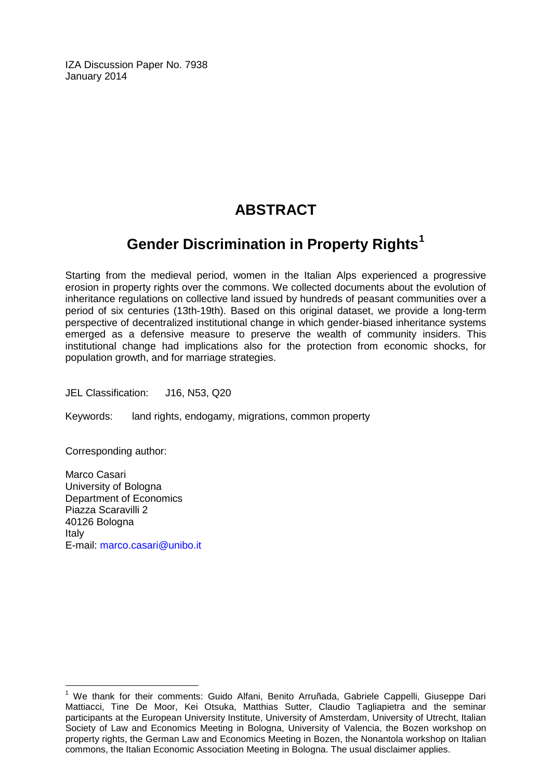IZA Discussion Paper No. 7938 January 2014

# **ABSTRACT**

# **Gender Discrimination in Property Rights[1](#page-1-0)**

Starting from the medieval period, women in the Italian Alps experienced a progressive erosion in property rights over the commons. We collected documents about the evolution of inheritance regulations on collective land issued by hundreds of peasant communities over a period of six centuries (13th-19th). Based on this original dataset, we provide a long-term perspective of decentralized institutional change in which gender-biased inheritance systems emerged as a defensive measure to preserve the wealth of community insiders. This institutional change had implications also for the protection from economic shocks, for population growth, and for marriage strategies.

JEL Classification: J16, N53, Q20

Keywords: land rights, endogamy, migrations, common property

Corresponding author:

Marco Casari University of Bologna Department of Economics Piazza Scaravilli 2 40126 Bologna Italy E-mail: [marco.casari@unibo.it](mailto:marco.casari@unibo.it)

 $\overline{a}$  $<sup>1</sup>$  We thank for their comments: Guido Alfani, Benito Arruñada, Gabriele Cappelli, Giuseppe Dari</sup> Mattiacci, Tine De Moor, Kei Otsuka, Matthias Sutter, Claudio Tagliapietra and the seminar participants at the European University Institute, University of Amsterdam, University of Utrecht, Italian Society of Law and Economics Meeting in Bologna, University of Valencia, the Bozen workshop on property rights, the German Law and Economics Meeting in Bozen, the Nonantola workshop on Italian commons, the Italian Economic Association Meeting in Bologna. The usual disclaimer applies.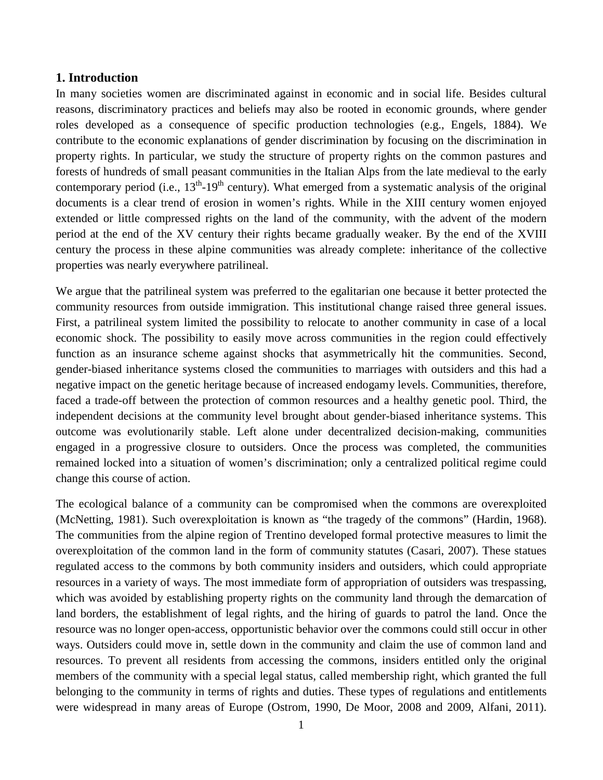#### **1. Introduction**

In many societies women are discriminated against in economic and in social life. Besides cultural reasons, discriminatory practices and beliefs may also be rooted in economic grounds, where gender roles developed as a consequence of specific production technologies (e.g., Engels, 1884). We contribute to the economic explanations of gender discrimination by focusing on the discrimination in property rights. In particular, we study the structure of property rights on the common pastures and forests of hundreds of small peasant communities in the Italian Alps from the late medieval to the early contemporary period (i.e.,  $13<sup>th</sup> - 19<sup>th</sup>$  century). What emerged from a systematic analysis of the original documents is a clear trend of erosion in women's rights. While in the XIII century women enjoyed extended or little compressed rights on the land of the community, with the advent of the modern period at the end of the XV century their rights became gradually weaker. By the end of the XVIII century the process in these alpine communities was already complete: inheritance of the collective properties was nearly everywhere patrilineal.

We argue that the patrilineal system was preferred to the egalitarian one because it better protected the community resources from outside immigration. This institutional change raised three general issues. First, a patrilineal system limited the possibility to relocate to another community in case of a local economic shock. The possibility to easily move across communities in the region could effectively function as an insurance scheme against shocks that asymmetrically hit the communities. Second, gender-biased inheritance systems closed the communities to marriages with outsiders and this had a negative impact on the genetic heritage because of increased endogamy levels. Communities, therefore, faced a trade-off between the protection of common resources and a healthy genetic pool. Third, the independent decisions at the community level brought about gender-biased inheritance systems. This outcome was evolutionarily stable. Left alone under decentralized decision-making, communities engaged in a progressive closure to outsiders. Once the process was completed, the communities remained locked into a situation of women's discrimination; only a centralized political regime could change this course of action.

The ecological balance of a community can be compromised when the commons are overexploited (McNetting, 1981). Such overexploitation is known as "the tragedy of the commons" (Hardin, 1968). The communities from the alpine region of Trentino developed formal protective measures to limit the overexploitation of the common land in the form of community statutes (Casari, 2007). These statues regulated access to the commons by both community insiders and outsiders, which could appropriate resources in a variety of ways. The most immediate form of appropriation of outsiders was trespassing, which was avoided by establishing property rights on the community land through the demarcation of land borders, the establishment of legal rights, and the hiring of guards to patrol the land. Once the resource was no longer open-access, opportunistic behavior over the commons could still occur in other ways. Outsiders could move in, settle down in the community and claim the use of common land and resources. To prevent all residents from accessing the commons, insiders entitled only the original members of the community with a special legal status, called membership right, which granted the full belonging to the community in terms of rights and duties. These types of regulations and entitlements were widespread in many areas of Europe (Ostrom, 1990, De Moor, 2008 and 2009, Alfani, 2011).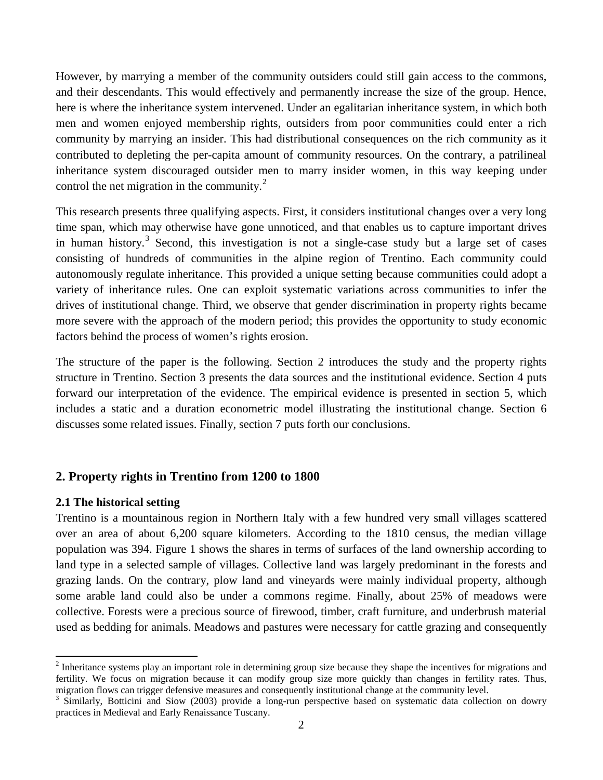However, by marrying a member of the community outsiders could still gain access to the commons, and their descendants. This would effectively and permanently increase the size of the group. Hence, here is where the inheritance system intervened. Under an egalitarian inheritance system, in which both men and women enjoyed membership rights, outsiders from poor communities could enter a rich community by marrying an insider. This had distributional consequences on the rich community as it contributed to depleting the per-capita amount of community resources. On the contrary, a patrilineal inheritance system discouraged outsider men to marry insider women, in this way keeping under control the net migration in the community. $^{2}$ 

This research presents three qualifying aspects. First, it considers institutional changes over a very long time span, which may otherwise have gone unnoticed, and that enables us to capture important drives in human history.<sup>[3](#page-4-0)</sup> Second, this investigation is not a single-case study but a large set of cases consisting of hundreds of communities in the alpine region of Trentino. Each community could autonomously regulate inheritance. This provided a unique setting because communities could adopt a variety of inheritance rules. One can exploit systematic variations across communities to infer the drives of institutional change. Third, we observe that gender discrimination in property rights became more severe with the approach of the modern period; this provides the opportunity to study economic factors behind the process of women's rights erosion.

The structure of the paper is the following. Section 2 introduces the study and the property rights structure in Trentino. Section 3 presents the data sources and the institutional evidence. Section 4 puts forward our interpretation of the evidence. The empirical evidence is presented in section 5, which includes a static and a duration econometric model illustrating the institutional change. Section 6 discusses some related issues. Finally, section 7 puts forth our conclusions.

# **2. Property rights in Trentino from 1200 to 1800**

#### **2.1 The historical setting**

<span id="page-4-1"></span> $\overline{\phantom{a}}$ 

Trentino is a mountainous region in Northern Italy with a few hundred very small villages scattered over an area of about 6,200 square kilometers. According to the 1810 census, the median village population was 394. Figure 1 shows the shares in terms of surfaces of the land ownership according to land type in a selected sample of villages. Collective land was largely predominant in the forests and grazing lands. On the contrary, plow land and vineyards were mainly individual property, although some arable land could also be under a commons regime. Finally, about 25% of meadows were collective. Forests were a precious source of firewood, timber, craft furniture, and underbrush material used as bedding for animals. Meadows and pastures were necessary for cattle grazing and consequently

<sup>&</sup>lt;sup>2</sup> Inheritance systems play an important role in determining group size because they shape the incentives for migrations and fertility. We focus on migration because it can modify group size more quickly than changes in fertility rates. Thus, migration flows can trigger defensive measures and consequently institutional change at the community level.

<span id="page-4-0"></span> $3$  Similarly, Botticini and Siow (2003) provide a long-run perspective based on systematic data collection on dowry practices in Medieval and Early Renaissance Tuscany.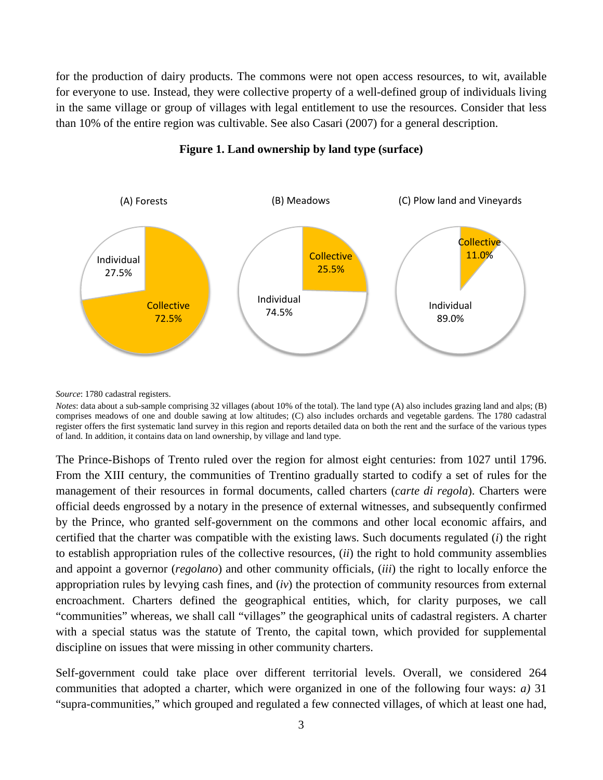for the production of dairy products. The commons were not open access resources, to wit, available for everyone to use. Instead, they were collective property of a well-defined group of individuals living in the same village or group of villages with legal entitlement to use the resources. Consider that less than 10% of the entire region was cultivable. See also Casari (2007) for a general description.



**Figure 1. Land ownership by land type (surface)**

*Source*: 1780 cadastral registers.

*Notes*: data about a sub-sample comprising 32 villages (about 10% of the total). The land type (A) also includes grazing land and alps; (B) comprises meadows of one and double sawing at low altitudes; (C) also includes orchards and vegetable gardens. The 1780 cadastral register offers the first systematic land survey in this region and reports detailed data on both the rent and the surface of the various types of land. In addition, it contains data on land ownership, by village and land type.

The Prince-Bishops of Trento ruled over the region for almost eight centuries: from 1027 until 1796. From the XIII century, the communities of Trentino gradually started to codify a set of rules for the management of their resources in formal documents, called charters (*carte di regola*). Charters were official deeds engrossed by a notary in the presence of external witnesses, and subsequently confirmed by the Prince, who granted self-government on the commons and other local economic affairs, and certified that the charter was compatible with the existing laws. Such documents regulated (*i*) the right to establish appropriation rules of the collective resources, (*ii*) the right to hold community assemblies and appoint a governor (*regolano*) and other community officials, (*iii*) the right to locally enforce the appropriation rules by levying cash fines, and (*iv*) the protection of community resources from external encroachment. Charters defined the geographical entities, which, for clarity purposes, we call "communities" whereas, we shall call "villages" the geographical units of cadastral registers. A charter with a special status was the statute of Trento, the capital town, which provided for supplemental discipline on issues that were missing in other community charters.

Self-government could take place over different territorial levels. Overall, we considered 264 communities that adopted a charter, which were organized in one of the following four ways: *a)* 31 "supra-communities," which grouped and regulated a few connected villages, of which at least one had,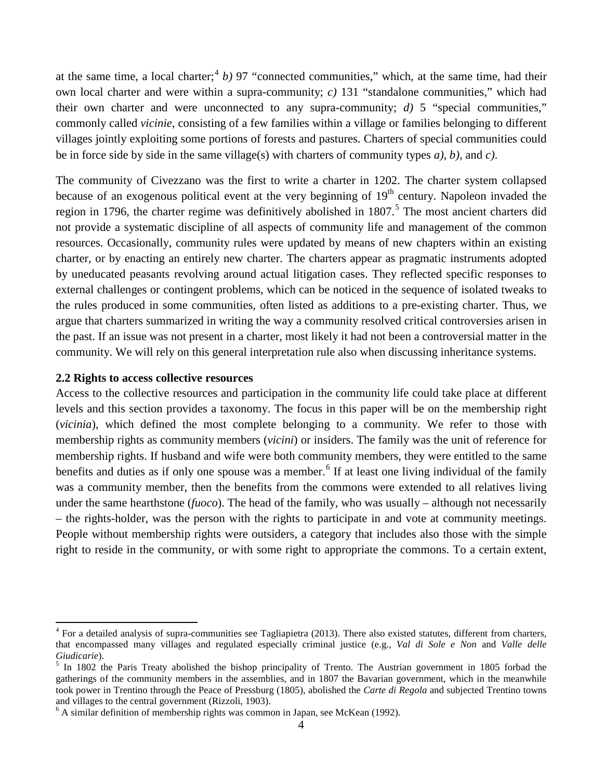at the same time, a local charter;<sup>[4](#page-4-1)</sup> *b*) 97 "connected communities," which, at the same time, had their own local charter and were within a supra-community; *c)* 131 "standalone communities," which had their own charter and were unconnected to any supra-community; *d)* 5 "special communities," commonly called *vicinie*, consisting of a few families within a village or families belonging to different villages jointly exploiting some portions of forests and pastures. Charters of special communities could be in force side by side in the same village(s) with charters of community types *a)*, *b)*, and *c)*.

The community of Civezzano was the first to write a charter in 1202. The charter system collapsed because of an exogenous political event at the very beginning of  $19<sup>th</sup>$  century. Napoleon invaded the region in 1796, the charter regime was definitively abolished in 1807.<sup>[5](#page-6-0)</sup> The most ancient charters did not provide a systematic discipline of all aspects of community life and management of the common resources. Occasionally, community rules were updated by means of new chapters within an existing charter, or by enacting an entirely new charter. The charters appear as pragmatic instruments adopted by uneducated peasants revolving around actual litigation cases. They reflected specific responses to external challenges or contingent problems, which can be noticed in the sequence of isolated tweaks to the rules produced in some communities, often listed as additions to a pre-existing charter. Thus, we argue that charters summarized in writing the way a community resolved critical controversies arisen in the past. If an issue was not present in a charter, most likely it had not been a controversial matter in the community. We will rely on this general interpretation rule also when discussing inheritance systems.

#### **2.2 Rights to access collective resources**

<span id="page-6-2"></span> $\overline{\phantom{a}}$ 

Access to the collective resources and participation in the community life could take place at different levels and this section provides a taxonomy. The focus in this paper will be on the membership right (*vicinia*), which defined the most complete belonging to a community. We refer to those with membership rights as community members (*vicini*) or insiders. The family was the unit of reference for membership rights. If husband and wife were both community members, they were entitled to the same benefits and duties as if only one spouse was a member.<sup>[6](#page-6-1)</sup> If at least one living individual of the family was a community member, then the benefits from the commons were extended to all relatives living under the same hearthstone (*fuoco*). The head of the family, who was usually – although not necessarily – the rights-holder, was the person with the rights to participate in and vote at community meetings. People without membership rights were outsiders, a category that includes also those with the simple right to reside in the community, or with some right to appropriate the commons. To a certain extent,

 $4$  For a detailed analysis of supra-communities see Tagliapietra (2013). There also existed statutes, different from charters, that encompassed many villages and regulated especially criminal justice (e.g., *Val di Sole e Non* and *Valle delle Giudicarie*).<br><sup>5</sup> In 1802 the Paris Treaty abolished the bishop principality of Trento. The Austrian government in 1805 forbad the

<span id="page-6-0"></span>gatherings of the community members in the assemblies, and in 1807 the Bavarian government, which in the meanwhile took power in Trentino through the Peace of Pressburg (1805), abolished the *Carte di Regola* and subjected Trentino towns and villages to the central government (Rizzoli, 1903).<br><sup>6</sup> A similar definition of membership rights was common in Japan, see McKean (1992).

<span id="page-6-1"></span>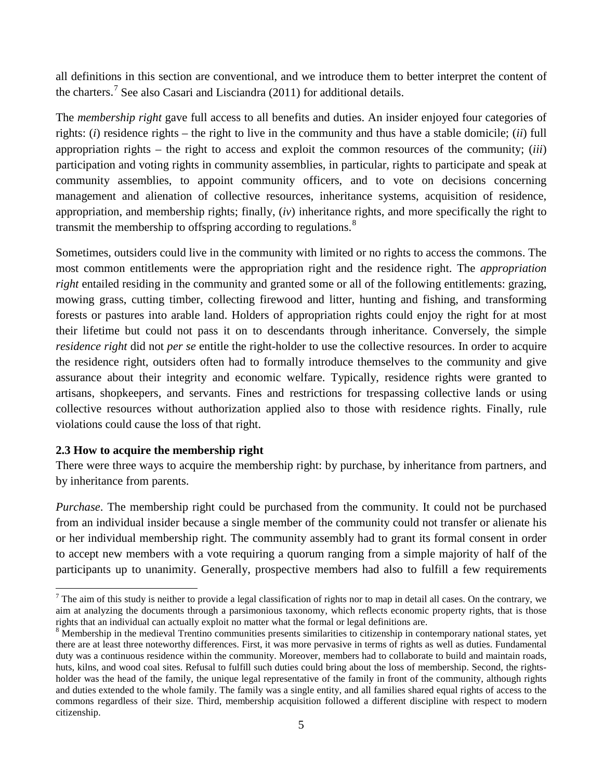all definitions in this section are conventional, and we introduce them to better interpret the content of the charters.<sup>[7](#page-6-2)</sup> See also Casari and Lisciandra (2011) for additional details.

The *membership right* gave full access to all benefits and duties. An insider enjoyed four categories of rights: (*i*) residence rights – the right to live in the community and thus have a stable domicile; (*ii*) full appropriation rights – the right to access and exploit the common resources of the community; (*iii*) participation and voting rights in community assemblies, in particular, rights to participate and speak at community assemblies, to appoint community officers, and to vote on decisions concerning management and alienation of collective resources, inheritance systems, acquisition of residence, appropriation, and membership rights; finally, (*iv*) inheritance rights, and more specifically the right to transmit the membership to offspring according to regulations.<sup>[8](#page-7-0)</sup>

Sometimes, outsiders could live in the community with limited or no rights to access the commons. The most common entitlements were the appropriation right and the residence right. The *appropriation right* entailed residing in the community and granted some or all of the following entitlements: grazing, mowing grass, cutting timber, collecting firewood and litter, hunting and fishing, and transforming forests or pastures into arable land. Holders of appropriation rights could enjoy the right for at most their lifetime but could not pass it on to descendants through inheritance. Conversely, the simple *residence right* did not *per se* entitle the right-holder to use the collective resources. In order to acquire the residence right, outsiders often had to formally introduce themselves to the community and give assurance about their integrity and economic welfare. Typically, residence rights were granted to artisans, shopkeepers, and servants. Fines and restrictions for trespassing collective lands or using collective resources without authorization applied also to those with residence rights. Finally, rule violations could cause the loss of that right.

# **2.3 How to acquire the membership right**

 $\overline{\phantom{a}}$ 

There were three ways to acquire the membership right: by purchase, by inheritance from partners, and by inheritance from parents.

*Purchase*. The membership right could be purchased from the community. It could not be purchased from an individual insider because a single member of the community could not transfer or alienate his or her individual membership right. The community assembly had to grant its formal consent in order to accept new members with a vote requiring a quorum ranging from a simple majority of half of the participants up to unanimity. Generally, prospective members had also to fulfill a few requirements

<span id="page-7-1"></span><sup>&</sup>lt;sup>7</sup> The aim of this study is neither to provide a legal classification of rights nor to map in detail all cases. On the contrary, we aim at analyzing the documents through a parsimonious taxonomy, which reflects economic property rights, that is those rights that an individual can actually exploit no matter what the formal or legal definitions are.<br><sup>8</sup> Membership in the medieval Trentino communities presents similarities to citizenship in contemporary national states, y

<span id="page-7-0"></span>there are at least three noteworthy differences. First, it was more pervasive in terms of rights as well as duties. Fundamental duty was a continuous residence within the community. Moreover, members had to collaborate to build and maintain roads, huts, kilns, and wood coal sites. Refusal to fulfill such duties could bring about the loss of membership. Second, the rightsholder was the head of the family, the unique legal representative of the family in front of the community, although rights and duties extended to the whole family. The family was a single entity, and all families shared equal rights of access to the commons regardless of their size. Third, membership acquisition followed a different discipline with respect to modern citizenship.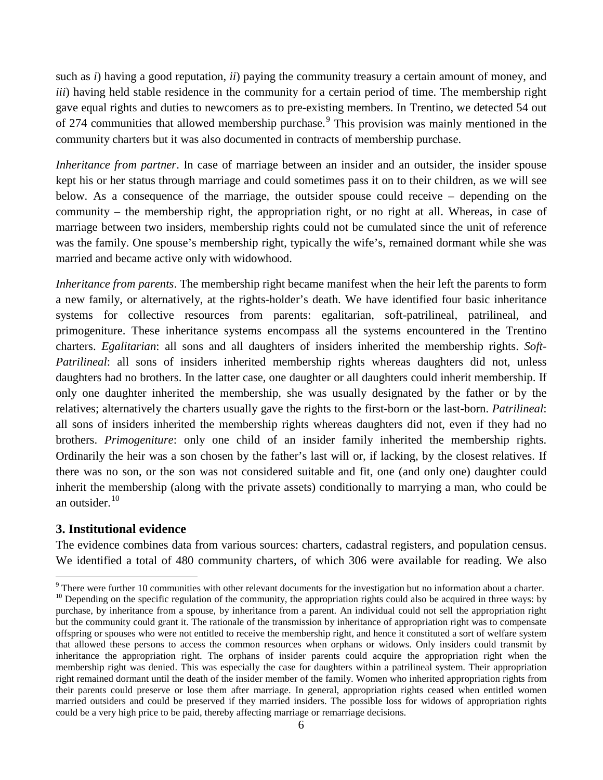such as *i*) having a good reputation, *ii*) paying the community treasury a certain amount of money, and *iii*) having held stable residence in the community for a certain period of time. The membership right gave equal rights and duties to newcomers as to pre-existing members. In Trentino, we detected 54 out of 274 communities that allowed membership purchase.<sup>[9](#page-7-1)</sup> This provision was mainly mentioned in the community charters but it was also documented in contracts of membership purchase.

*Inheritance from partner*. In case of marriage between an insider and an outsider, the insider spouse kept his or her status through marriage and could sometimes pass it on to their children, as we will see below. As a consequence of the marriage, the outsider spouse could receive – depending on the community – the membership right, the appropriation right, or no right at all. Whereas, in case of marriage between two insiders, membership rights could not be cumulated since the unit of reference was the family. One spouse's membership right, typically the wife's, remained dormant while she was married and became active only with widowhood.

*Inheritance from parents*. The membership right became manifest when the heir left the parents to form a new family, or alternatively, at the rights-holder's death. We have identified four basic inheritance systems for collective resources from parents: egalitarian, soft-patrilineal, patrilineal, and primogeniture. These inheritance systems encompass all the systems encountered in the Trentino charters. *Egalitarian*: all sons and all daughters of insiders inherited the membership rights. *Soft-Patrilineal*: all sons of insiders inherited membership rights whereas daughters did not, unless daughters had no brothers. In the latter case, one daughter or all daughters could inherit membership. If only one daughter inherited the membership, she was usually designated by the father or by the relatives; alternatively the charters usually gave the rights to the first-born or the last-born. *Patrilineal*: all sons of insiders inherited the membership rights whereas daughters did not, even if they had no brothers. *Primogeniture*: only one child of an insider family inherited the membership rights. Ordinarily the heir was a son chosen by the father's last will or, if lacking, by the closest relatives. If there was no son, or the son was not considered suitable and fit, one (and only one) daughter could inherit the membership (along with the private assets) conditionally to marrying a man, who could be an outsider. $10$ 

# **3. Institutional evidence**

 $\overline{\phantom{a}}$ 

The evidence combines data from various sources: charters, cadastral registers, and population census. We identified a total of 480 community charters, of which 306 were available for reading. We also

<span id="page-8-1"></span><span id="page-8-0"></span>There were further 10 communities with other relevant documents for the investigation but no information about a charter.<br><sup>10</sup> Depending on the specific regulation of the community, the appropriation rights could also be purchase, by inheritance from a spouse, by inheritance from a parent. An individual could not sell the appropriation right but the community could grant it. The rationale of the transmission by inheritance of appropriation right was to compensate offspring or spouses who were not entitled to receive the membership right, and hence it constituted a sort of welfare system that allowed these persons to access the common resources when orphans or widows. Only insiders could transmit by inheritance the appropriation right. The orphans of insider parents could acquire the appropriation right when the membership right was denied. This was especially the case for daughters within a patrilineal system. Their appropriation right remained dormant until the death of the insider member of the family. Women who inherited appropriation rights from their parents could preserve or lose them after marriage. In general, appropriation rights ceased when entitled women married outsiders and could be preserved if they married insiders. The possible loss for widows of appropriation rights could be a very high price to be paid, thereby affecting marriage or remarriage decisions.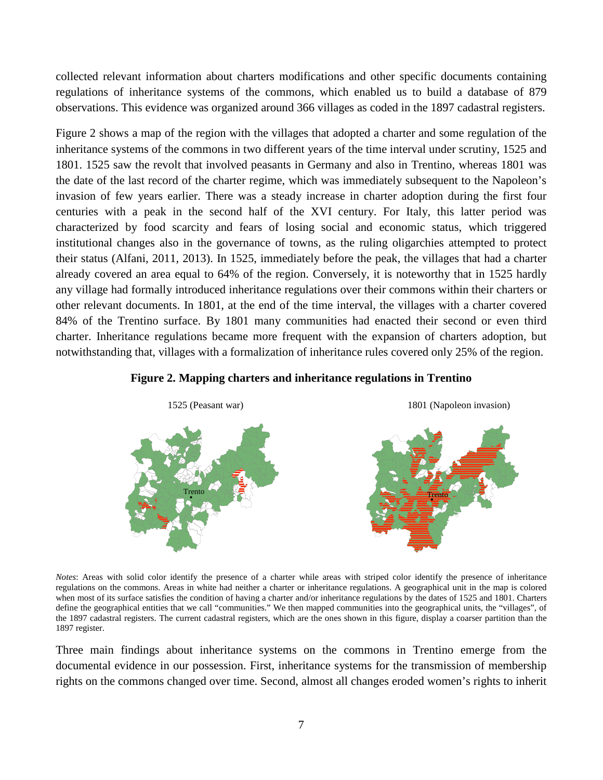collected relevant information about charters modifications and other specific documents containing regulations of inheritance systems of the commons, which enabled us to build a database of 879 observations. This evidence was organized around 366 villages as coded in the 1897 cadastral registers.

Figure 2 shows a map of the region with the villages that adopted a charter and some regulation of the inheritance systems of the commons in two different years of the time interval under scrutiny, 1525 and 1801. 1525 saw the revolt that involved peasants in Germany and also in Trentino, whereas 1801 was the date of the last record of the charter regime, which was immediately subsequent to the Napoleon's invasion of few years earlier. There was a steady increase in charter adoption during the first four centuries with a peak in the second half of the XVI century. For Italy, this latter period was characterized by food scarcity and fears of losing social and economic status, which triggered institutional changes also in the governance of towns, as the ruling oligarchies attempted to protect their status (Alfani, 2011, 2013). In 1525, immediately before the peak, the villages that had a charter already covered an area equal to 64% of the region. Conversely, it is noteworthy that in 1525 hardly any village had formally introduced inheritance regulations over their commons within their charters or other relevant documents. In 1801, at the end of the time interval, the villages with a charter covered 84% of the Trentino surface. By 1801 many communities had enacted their second or even third charter. Inheritance regulations became more frequent with the expansion of charters adoption, but notwithstanding that, villages with a formalization of inheritance rules covered only 25% of the region.





*Notes*: Areas with solid color identify the presence of a charter while areas with striped color identify the presence of inheritance regulations on the commons. Areas in white had neither a charter or inheritance regulations. A geographical unit in the map is colored when most of its surface satisfies the condition of having a charter and/or inheritance regulations by the dates of 1525 and 1801. Charters define the geographical entities that we call "communities." We then mapped communities into the geographical units, the "villages", of the 1897 cadastral registers. The current cadastral registers, which are the ones shown in this figure, display a coarser partition than the 1897 register.

Three main findings about inheritance systems on the commons in Trentino emerge from the documental evidence in our possession. First, inheritance systems for the transmission of membership rights on the commons changed over time. Second, almost all changes eroded women's rights to inherit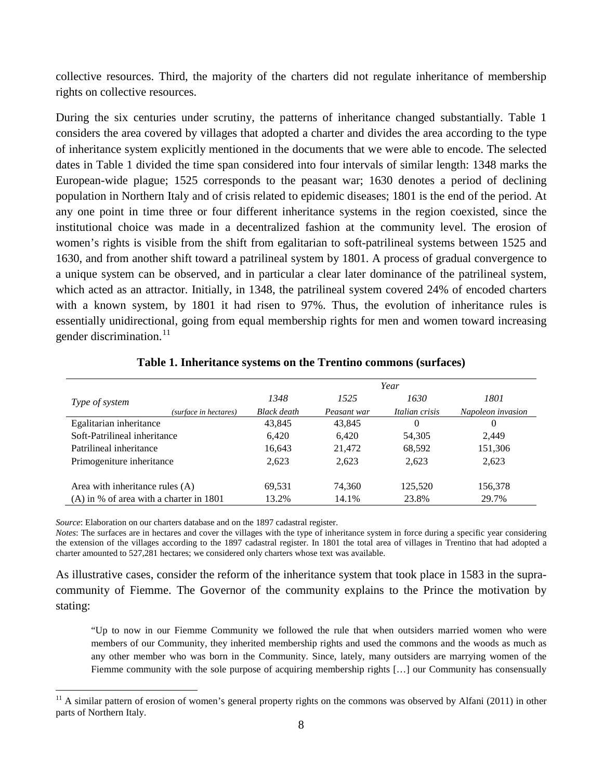collective resources. Third, the majority of the charters did not regulate inheritance of membership rights on collective resources.

During the six centuries under scrutiny, the patterns of inheritance changed substantially. Table 1 considers the area covered by villages that adopted a charter and divides the area according to the type of inheritance system explicitly mentioned in the documents that we were able to encode. The selected dates in Table 1 divided the time span considered into four intervals of similar length: 1348 marks the European-wide plague; 1525 corresponds to the peasant war; 1630 denotes a period of declining population in Northern Italy and of crisis related to epidemic diseases; 1801 is the end of the period. At any one point in time three or four different inheritance systems in the region coexisted, since the institutional choice was made in a decentralized fashion at the community level. The erosion of women's rights is visible from the shift from egalitarian to soft-patrilineal systems between 1525 and 1630, and from another shift toward a patrilineal system by 1801. A process of gradual convergence to a unique system can be observed, and in particular a clear later dominance of the patrilineal system, which acted as an attractor. Initially, in 1348, the patrilineal system covered 24% of encoded charters with a known system, by 1801 it had risen to 97%. Thus, the evolution of inheritance rules is essentially unidirectional, going from equal membership rights for men and women toward increasing gender discrimination.<sup>[11](#page-8-1)</sup>

|                                           | Year               |             |                |                   |  |
|-------------------------------------------|--------------------|-------------|----------------|-------------------|--|
| Type of system                            | 1348               | 1525        | 1630           | 1801              |  |
| (surface in hectares)                     | <b>Black</b> death | Peasant war | Italian crisis | Napoleon invasion |  |
| Egalitarian inheritance                   | 43.845             | 43,845      | 0              | $\theta$          |  |
| Soft-Patrilineal inheritance              | 6.420              | 6.420       | 54,305         | 2,449             |  |
| Patrilineal inheritance                   | 16,643             | 21,472      | 68,592         | 151,306           |  |
| Primogeniture inheritance                 | 2,623              | 2,623       | 2,623          | 2,623             |  |
| Area with inheritance rules $(A)$         | 69,531             | 74,360      | 125,520        | 156,378           |  |
| $(A)$ in % of area with a charter in 1801 | 13.2%              | 14.1%       | 23.8%          | 29.7%             |  |

#### **Table 1. Inheritance systems on the Trentino commons (surfaces)**

*Source*: Elaboration on our charters database and on the 1897 cadastral register.

 $\overline{\phantom{a}}$ 

*Notes*: The surfaces are in hectares and cover the villages with the type of inheritance system in force during a specific year considering the extension of the villages according to the 1897 cadastral register. In 1801 the total area of villages in Trentino that had adopted a charter amounted to 527,281 hectares; we considered only charters whose text was available.

<span id="page-10-0"></span>As illustrative cases, consider the reform of the inheritance system that took place in 1583 in the supracommunity of Fiemme. The Governor of the community explains to the Prince the motivation by stating:

"Up to now in our Fiemme Community we followed the rule that when outsiders married women who were members of our Community, they inherited membership rights and used the commons and the woods as much as any other member who was born in the Community. Since, lately, many outsiders are marrying women of the Fiemme community with the sole purpose of acquiring membership rights [...] our Community has consensually

 $11$  A similar pattern of erosion of women's general property rights on the commons was observed by Alfani (2011) in other parts of Northern Italy.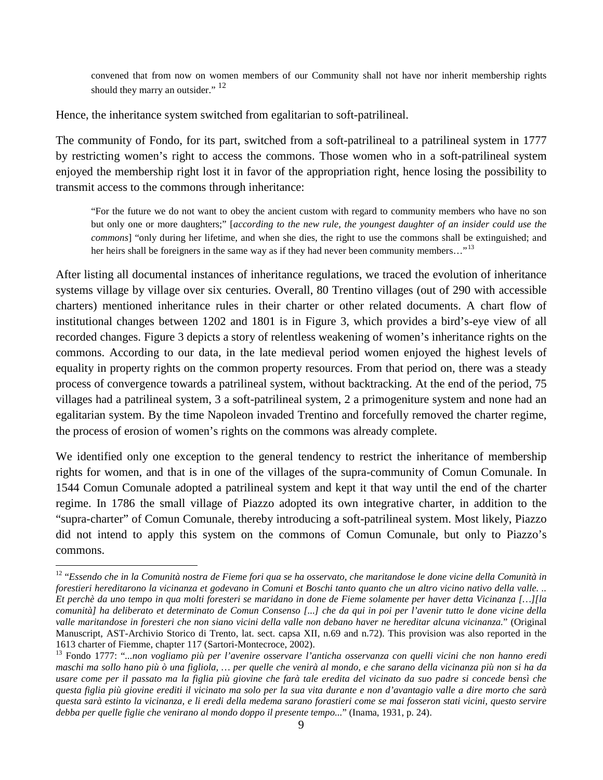convened that from now on women members of our Community shall not have nor inherit membership rights should they marry an outsider." <sup>12</sup>

Hence, the inheritance system switched from egalitarian to soft-patrilineal.

The community of Fondo, for its part, switched from a soft-patrilineal to a patrilineal system in 1777 by restricting women's right to access the commons. Those women who in a soft-patrilineal system enjoyed the membership right lost it in favor of the appropriation right, hence losing the possibility to transmit access to the commons through inheritance:

"For the future we do not want to obey the ancient custom with regard to community members who have no son but only one or more daughters;" [*according to the new rule, the youngest daughter of an insider could use the commons*] "only during her lifetime, and when she dies, the right to use the commons shall be extinguished; and her heirs shall be foreigners in the same way as if they had never been community members..."<sup>[13](#page-11-0)</sup>

After listing all documental instances of inheritance regulations, we traced the evolution of inheritance systems village by village over six centuries. Overall, 80 Trentino villages (out of 290 with accessible charters) mentioned inheritance rules in their charter or other related documents. A chart flow of institutional changes between 1202 and 1801 is in Figure 3, which provides a bird's-eye view of all recorded changes. Figure 3 depicts a story of relentless weakening of women's inheritance rights on the commons. According to our data, in the late medieval period women enjoyed the highest levels of equality in property rights on the common property resources. From that period on, there was a steady process of convergence towards a patrilineal system, without backtracking. At the end of the period, 75 villages had a patrilineal system, 3 a soft-patrilineal system, 2 a primogeniture system and none had an egalitarian system. By the time Napoleon invaded Trentino and forcefully removed the charter regime, the process of erosion of women's rights on the commons was already complete.

We identified only one exception to the general tendency to restrict the inheritance of membership rights for women, and that is in one of the villages of the supra-community of Comun Comunale. In 1544 Comun Comunale adopted a patrilineal system and kept it that way until the end of the charter regime. In 1786 the small village of Piazzo adopted its own integrative charter, in addition to the "supra-charter" of Comun Comunale, thereby introducing a soft-patrilineal system. Most likely, Piazzo did not intend to apply this system on the commons of Comun Comunale, but only to Piazzo's commons.

l

<sup>&</sup>lt;sup>12</sup> "Essendo che in la Comunità nostra de Fieme fori qua se ha osservato, che maritandose le done vicine della Comunità in *forestieri hereditarono la vicinanza et godevano in Comuni et Boschi tanto quanto che un altro vicino nativo della valle. .. Et perchè da uno tempo in qua molti foresteri se maridano in done de Fieme solamente per haver detta Vicinanza […][la comunità] ha deliberato et determinato de Comun Consenso [...] che da qui in poi per l'avenir tutto le done vicine della valle maritandose in foresteri che non siano vicini della valle non debano haver ne hereditar alcuna vicinanza.*" (Original Manuscript, AST-Archivio Storico di Trento, lat. sect. capsa XII, n.69 and n.72). This provision was also reported in the 1613 charter of Fiemme, chapter 117 (Sartori-Montecroce, 2002).

<span id="page-11-1"></span><span id="page-11-0"></span><sup>&</sup>lt;sup>13</sup> Fondo 1777: "*...non vogliamo più per l'avenire osservare l'anticha osservanza con quelli vicini che non hanno eredi maschi ma sollo hano più ò una figliola, … per quelle che venirà al mondo, e che sarano della vicinanza più non si ha da usare come per il passato ma la figlia più giovine che farà tale eredita del vicinato da suo padre si concede bensì che questa figlia più giovine erediti il vicinato ma solo per la sua vita durante e non d'avantagio valle a dire morto che sarà questa sarà estinto la vicinanza, e li eredi della medema sarano forastieri come se mai fosseron stati vicini, questo servire debba per quelle figlie che venirano al mondo doppo il presente tempo...*" (Inama, 1931, p. 24).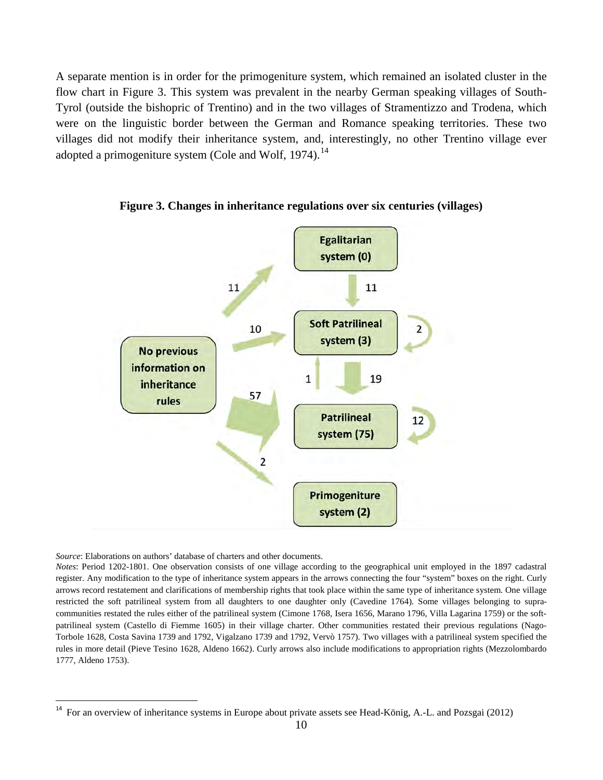A separate mention is in order for the primogeniture system, which remained an isolated cluster in the flow chart in Figure 3. This system was prevalent in the nearby German speaking villages of South-Tyrol (outside the bishopric of Trentino) and in the two villages of Stramentizzo and Trodena, which were on the linguistic border between the German and Romance speaking territories. These two villages did not modify their inheritance system, and, interestingly, no other Trentino village ever adopted a primogeniture system (Cole and Wolf, 1974).<sup>[14](#page-11-1)</sup>



**Figure 3. Changes in inheritance regulations over six centuries (villages)**

*Source*: Elaborations on authors' database of charters and other documents.

<span id="page-12-0"></span>l

*Notes*: Period 1202-1801. One observation consists of one village according to the geographical unit employed in the 1897 cadastral register. Any modification to the type of inheritance system appears in the arrows connecting the four "system" boxes on the right. Curly arrows record restatement and clarifications of membership rights that took place within the same type of inheritance system. One village restricted the soft patrilineal system from all daughters to one daughter only (Cavedine 1764). Some villages belonging to supracommunities restated the rules either of the patrilineal system (Cimone 1768, Isera 1656, Marano 1796, Villa Lagarina 1759) or the softpatrilineal system (Castello di Fiemme 1605) in their village charter. Other communities restated their previous regulations (Nago-Torbole 1628, Costa Savina 1739 and 1792, Vigalzano 1739 and 1792, Vervò 1757). Two villages with a patrilineal system specified the rules in more detail (Pieve Tesino 1628, Aldeno 1662). Curly arrows also include modifications to appropriation rights (Mezzolombardo 1777, Aldeno 1753).

<sup>&</sup>lt;sup>14</sup> For an overview of inheritance systems in Europe about private assets see Head-König, A.-L. and Pozsgai (2012)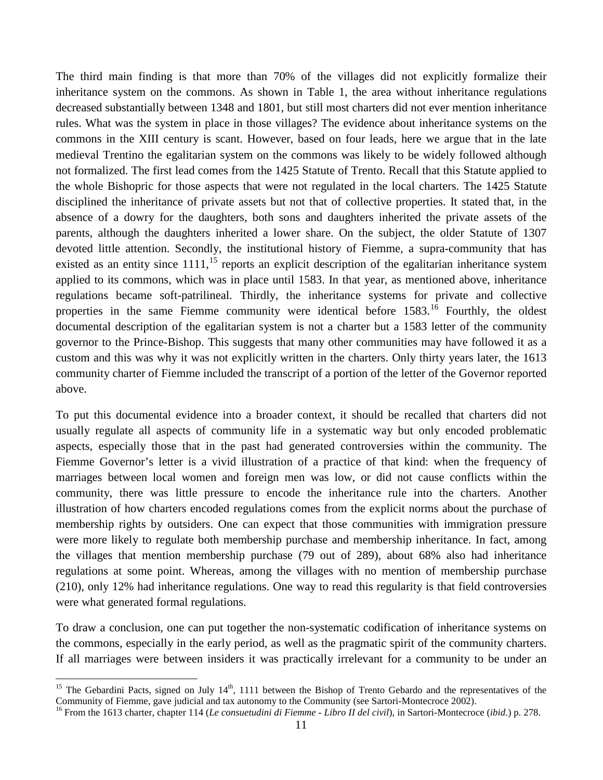The third main finding is that more than 70% of the villages did not explicitly formalize their inheritance system on the commons. As shown in Table 1, the area without inheritance regulations decreased substantially between 1348 and 1801, but still most charters did not ever mention inheritance rules. What was the system in place in those villages? The evidence about inheritance systems on the commons in the XIII century is scant. However, based on four leads, here we argue that in the late medieval Trentino the egalitarian system on the commons was likely to be widely followed although not formalized. The first lead comes from the 1425 Statute of Trento. Recall that this Statute applied to the whole Bishopric for those aspects that were not regulated in the local charters. The 1425 Statute disciplined the inheritance of private assets but not that of collective properties. It stated that, in the absence of a dowry for the daughters, both sons and daughters inherited the private assets of the parents, although the daughters inherited a lower share. On the subject, the older Statute of 1307 devoted little attention. Secondly, the institutional history of Fiemme, a supra-community that has existed as an entity since  $1111$ ,<sup>[15](#page-12-0)</sup> reports an explicit description of the egalitarian inheritance system applied to its commons, which was in place until 1583. In that year, as mentioned above, inheritance regulations became soft-patrilineal. Thirdly, the inheritance systems for private and collective properties in the same Fiemme community were identical before  $1583$ .<sup>[16](#page-13-0)</sup> Fourthly, the oldest documental description of the egalitarian system is not a charter but a 1583 letter of the community governor to the Prince-Bishop. This suggests that many other communities may have followed it as a custom and this was why it was not explicitly written in the charters. Only thirty years later, the 1613 community charter of Fiemme included the transcript of a portion of the letter of the Governor reported above.

To put this documental evidence into a broader context, it should be recalled that charters did not usually regulate all aspects of community life in a systematic way but only encoded problematic aspects, especially those that in the past had generated controversies within the community. The Fiemme Governor's letter is a vivid illustration of a practice of that kind: when the frequency of marriages between local women and foreign men was low, or did not cause conflicts within the community, there was little pressure to encode the inheritance rule into the charters. Another illustration of how charters encoded regulations comes from the explicit norms about the purchase of membership rights by outsiders. One can expect that those communities with immigration pressure were more likely to regulate both membership purchase and membership inheritance. In fact, among the villages that mention membership purchase (79 out of 289), about 68% also had inheritance regulations at some point. Whereas, among the villages with no mention of membership purchase (210), only 12% had inheritance regulations. One way to read this regularity is that field controversies were what generated formal regulations.

To draw a conclusion, one can put together the non-systematic codification of inheritance systems on the commons, especially in the early period, as well as the pragmatic spirit of the community charters. If all marriages were between insiders it was practically irrelevant for a community to be under an

 $\overline{\phantom{a}}$ 

<span id="page-13-1"></span><sup>&</sup>lt;sup>15</sup> The Gebardini Pacts, signed on July  $14<sup>th</sup>$ , 1111 between the Bishop of Trento Gebardo and the representatives of the Community of Fiemme, gave judicial and tax autonomy to the Community (see Sartori-Montecroce 2002).<br><sup>16</sup> From the 1613 charter, chapter 114 (Le consuetudini di Fiemme - Libro II del civil), in Sartori-Montecroce (ibid.) p.

<span id="page-13-0"></span>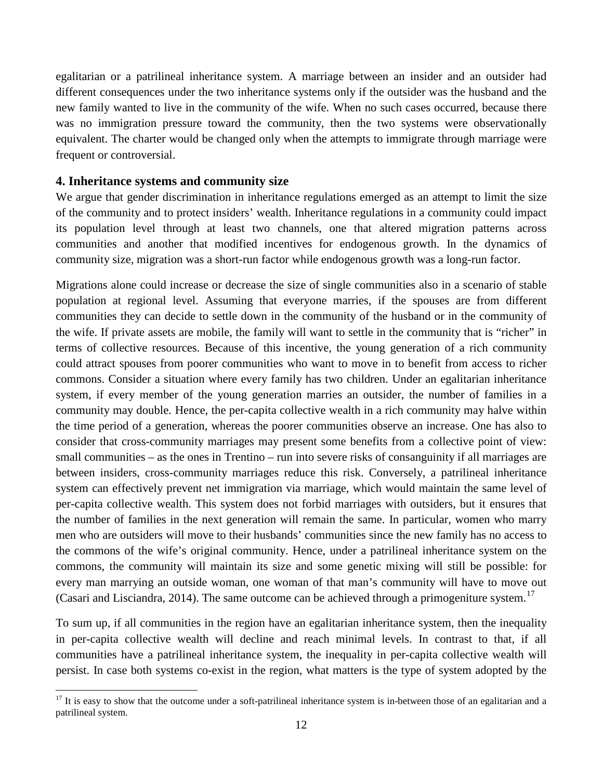egalitarian or a patrilineal inheritance system. A marriage between an insider and an outsider had different consequences under the two inheritance systems only if the outsider was the husband and the new family wanted to live in the community of the wife. When no such cases occurred, because there was no immigration pressure toward the community, then the two systems were observationally equivalent. The charter would be changed only when the attempts to immigrate through marriage were frequent or controversial.

#### **4. Inheritance systems and community size**

 $\overline{\phantom{a}}$ 

We argue that gender discrimination in inheritance regulations emerged as an attempt to limit the size of the community and to protect insiders' wealth. Inheritance regulations in a community could impact its population level through at least two channels, one that altered migration patterns across communities and another that modified incentives for endogenous growth. In the dynamics of community size, migration was a short-run factor while endogenous growth was a long-run factor.

Migrations alone could increase or decrease the size of single communities also in a scenario of stable population at regional level. Assuming that everyone marries, if the spouses are from different communities they can decide to settle down in the community of the husband or in the community of the wife. If private assets are mobile, the family will want to settle in the community that is "richer" in terms of collective resources. Because of this incentive, the young generation of a rich community could attract spouses from poorer communities who want to move in to benefit from access to richer commons. Consider a situation where every family has two children. Under an egalitarian inheritance system, if every member of the young generation marries an outsider, the number of families in a community may double. Hence, the per-capita collective wealth in a rich community may halve within the time period of a generation, whereas the poorer communities observe an increase. One has also to consider that cross-community marriages may present some benefits from a collective point of view: small communities – as the ones in Trentino – run into severe risks of consanguinity if all marriages are between insiders, cross-community marriages reduce this risk. Conversely, a patrilineal inheritance system can effectively prevent net immigration via marriage, which would maintain the same level of per-capita collective wealth. This system does not forbid marriages with outsiders, but it ensures that the number of families in the next generation will remain the same. In particular, women who marry men who are outsiders will move to their husbands' communities since the new family has no access to the commons of the wife's original community. Hence, under a patrilineal inheritance system on the commons, the community will maintain its size and some genetic mixing will still be possible: for every man marrying an outside woman, one woman of that man's community will have to move out (Casari and Lisciandra, 2014). The same outcome can be achieved through a primogeniture system.<sup>[17](#page-13-1)</sup>

<span id="page-14-0"></span>To sum up, if all communities in the region have an egalitarian inheritance system, then the inequality in per-capita collective wealth will decline and reach minimal levels. In contrast to that, if all communities have a patrilineal inheritance system, the inequality in per-capita collective wealth will persist. In case both systems co-exist in the region, what matters is the type of system adopted by the

<sup>&</sup>lt;sup>17</sup> It is easy to show that the outcome under a soft-patrilineal inheritance system is in-between those of an egalitarian and a patrilineal system.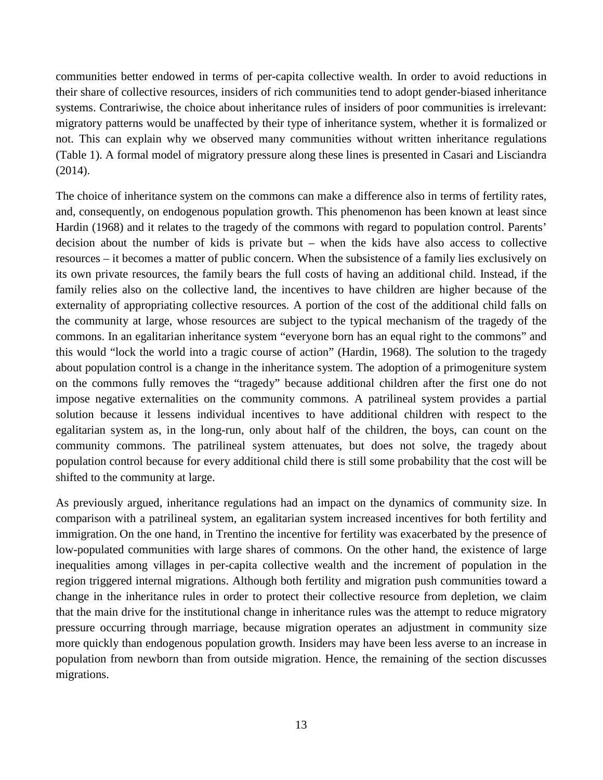communities better endowed in terms of per-capita collective wealth. In order to avoid reductions in their share of collective resources, insiders of rich communities tend to adopt gender-biased inheritance systems. Contrariwise, the choice about inheritance rules of insiders of poor communities is irrelevant: migratory patterns would be unaffected by their type of inheritance system, whether it is formalized or not. This can explain why we observed many communities without written inheritance regulations (Table 1). A formal model of migratory pressure along these lines is presented in Casari and Lisciandra (2014).

The choice of inheritance system on the commons can make a difference also in terms of fertility rates, and, consequently, on endogenous population growth. This phenomenon has been known at least since Hardin (1968) and it relates to the tragedy of the commons with regard to population control. Parents' decision about the number of kids is private but – when the kids have also access to collective resources – it becomes a matter of public concern. When the subsistence of a family lies exclusively on its own private resources, the family bears the full costs of having an additional child. Instead, if the family relies also on the collective land, the incentives to have children are higher because of the externality of appropriating collective resources. A portion of the cost of the additional child falls on the community at large, whose resources are subject to the typical mechanism of the tragedy of the commons. In an egalitarian inheritance system "everyone born has an equal right to the commons" and this would "lock the world into a tragic course of action" (Hardin, 1968). The solution to the tragedy about population control is a change in the inheritance system. The adoption of a primogeniture system on the commons fully removes the "tragedy" because additional children after the first one do not impose negative externalities on the community commons. A patrilineal system provides a partial solution because it lessens individual incentives to have additional children with respect to the egalitarian system as, in the long-run, only about half of the children, the boys, can count on the community commons. The patrilineal system attenuates, but does not solve, the tragedy about population control because for every additional child there is still some probability that the cost will be shifted to the community at large.

As previously argued, inheritance regulations had an impact on the dynamics of community size. In comparison with a patrilineal system, an egalitarian system increased incentives for both fertility and immigration. On the one hand, in Trentino the incentive for fertility was exacerbated by the presence of low-populated communities with large shares of commons. On the other hand, the existence of large inequalities among villages in per-capita collective wealth and the increment of population in the region triggered internal migrations. Although both fertility and migration push communities toward a change in the inheritance rules in order to protect their collective resource from depletion, we claim that the main drive for the institutional change in inheritance rules was the attempt to reduce migratory pressure occurring through marriage, because migration operates an adjustment in community size more quickly than endogenous population growth. Insiders may have been less averse to an increase in population from newborn than from outside migration. Hence, the remaining of the section discusses migrations.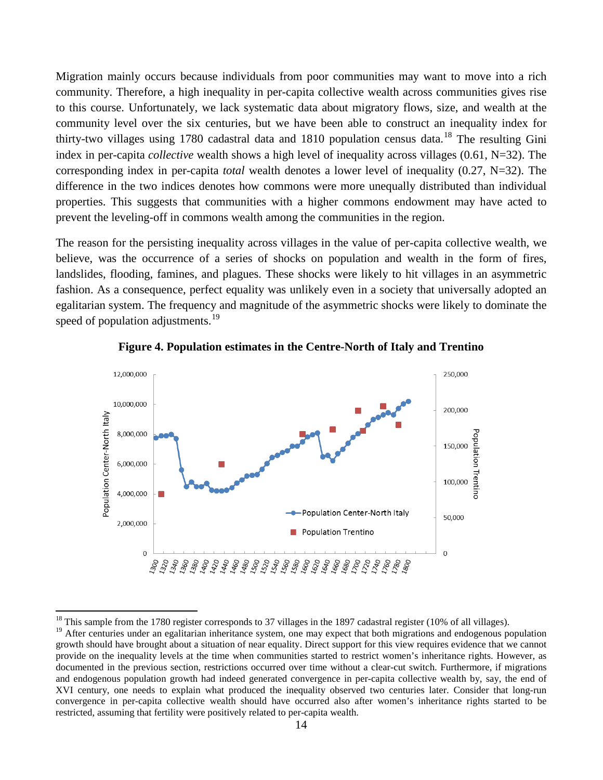Migration mainly occurs because individuals from poor communities may want to move into a rich community. Therefore, a high inequality in per-capita collective wealth across communities gives rise to this course. Unfortunately, we lack systematic data about migratory flows, size, and wealth at the community level over the six centuries, but we have been able to construct an inequality index for thirty-two villages using 1780 cadastral data and [18](#page-14-0)10 population census data.<sup>18</sup> The resulting Gini index in per-capita *collective* wealth shows a high level of inequality across villages (0.61, N=32). The corresponding index in per-capita *total* wealth denotes a lower level of inequality (0.27, N=32). The difference in the two indices denotes how commons were more unequally distributed than individual properties. This suggests that communities with a higher commons endowment may have acted to prevent the leveling-off in commons wealth among the communities in the region.

The reason for the persisting inequality across villages in the value of per-capita collective wealth, we believe, was the occurrence of a series of shocks on population and wealth in the form of fires, landslides, flooding, famines, and plagues. These shocks were likely to hit villages in an asymmetric fashion. As a consequence, perfect equality was unlikely even in a society that universally adopted an egalitarian system. The frequency and magnitude of the asymmetric shocks were likely to dominate the speed of population adjustments.<sup>[19](#page-16-0)</sup>



**Figure 4. Population estimates in the Centre-North of Italy and Trentino** 

 $\overline{\phantom{a}}$ 

 $18$  This sample from the 1780 register corresponds to 37 villages in the 1897 cadastral register (10% of all villages).

<span id="page-16-1"></span><span id="page-16-0"></span><sup>&</sup>lt;sup>19</sup> After centuries under an egalitarian inheritance system, one may expect that both migrations and endogenous population growth should have brought about a situation of near equality. Direct support for this view requires evidence that we cannot provide on the inequality levels at the time when communities started to restrict women's inheritance rights. However, as documented in the previous section, restrictions occurred over time without a clear-cut switch. Furthermore, if migrations and endogenous population growth had indeed generated convergence in per-capita collective wealth by, say, the end of XVI century, one needs to explain what produced the inequality observed two centuries later. Consider that long-run convergence in per-capita collective wealth should have occurred also after women's inheritance rights started to be restricted, assuming that fertility were positively related to per-capita wealth.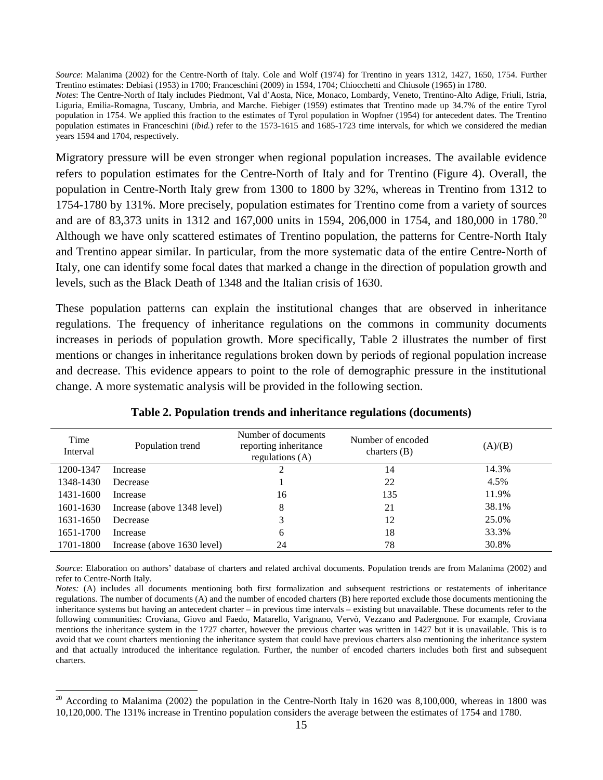*Source*: Malanima (2002) for the Centre-North of Italy. Cole and Wolf (1974) for Trentino in years 1312, 1427, 1650, 1754. Further Trentino estimates: Debiasi (1953) in 1700; Franceschini (2009) in 1594, 1704; Chiocchetti and Chiusole (1965) in 1780.

*Notes*: The Centre-North of Italy includes Piedmont, Val d'Aosta, Nice, Monaco, Lombardy, Veneto, Trentino-Alto Adige, Friuli, Istria, Liguria, Emilia-Romagna, Tuscany, Umbria, and Marche. Fiebiger (1959) estimates that Trentino made up 34.7% of the entire Tyrol population in 1754. We applied this fraction to the estimates of Tyrol population in Wopfner (1954) for antecedent dates. The Trentino population estimates in Franceschini (*ibid.*) refer to the 1573-1615 and 1685-1723 time intervals, for which we considered the median years 1594 and 1704, respectively.

Migratory pressure will be even stronger when regional population increases. The available evidence refers to population estimates for the Centre-North of Italy and for Trentino (Figure 4). Overall, the population in Centre-North Italy grew from 1300 to 1800 by 32%, whereas in Trentino from 1312 to 1754-1780 by 131%. More precisely, population estimates for Trentino come from a variety of sources and are of 83,373 units in 1312 and 167,000 units in 1594, [20](#page-16-1)6,000 in 1754, and 180,000 in 1780.<sup>20</sup> Although we have only scattered estimates of Trentino population, the patterns for Centre-North Italy and Trentino appear similar. In particular, from the more systematic data of the entire Centre-North of Italy, one can identify some focal dates that marked a change in the direction of population growth and levels, such as the Black Death of 1348 and the Italian crisis of 1630.

These population patterns can explain the institutional changes that are observed in inheritance regulations. The frequency of inheritance regulations on the commons in community documents increases in periods of population growth. More specifically, Table 2 illustrates the number of first mentions or changes in inheritance regulations broken down by periods of regional population increase and decrease. This evidence appears to point to the role of demographic pressure in the institutional change. A more systematic analysis will be provided in the following section.

| Time<br>Interval | Population trend            | Number of documents<br>reporting inheritance<br>regulations $(A)$ | Number of encoded<br>charters $(B)$ | (A)/(B) |
|------------------|-----------------------------|-------------------------------------------------------------------|-------------------------------------|---------|
| 1200-1347        | Increase                    | 2                                                                 | 14                                  | 14.3%   |
| 1348-1430        | Decrease                    |                                                                   | 22                                  | 4.5%    |
| 1431-1600        | Increase                    | 16                                                                | 135                                 | 11.9%   |
| 1601-1630        | Increase (above 1348 level) | 8                                                                 | 21                                  | 38.1%   |
| 1631-1650        | Decrease                    | 3                                                                 | 12                                  | 25.0%   |
| 1651-1700        | Increase                    | 6                                                                 | 18                                  | 33.3%   |
| 1701-1800        | Increase (above 1630 level) | 24                                                                | 78                                  | 30.8%   |

**Table 2. Population trends and inheritance regulations (documents)** 

*Source*: Elaboration on authors' database of charters and related archival documents. Population trends are from Malanima (2002) and refer to Centre-North Italy.

<span id="page-17-0"></span>*Notes:* (A) includes all documents mentioning both first formalization and subsequent restrictions or restatements of inheritance regulations. The number of documents (A) and the number of encoded charters (B) here reported exclude those documents mentioning the inheritance systems but having an antecedent charter – in previous time intervals – existing but unavailable. These documents refer to the following communities: Croviana, Giovo and Faedo, Matarello, Varignano, Vervò, Vezzano and Padergnone. For example, Croviana mentions the inheritance system in the 1727 charter, however the previous charter was written in 1427 but it is unavailable. This is to avoid that we count charters mentioning the inheritance system that could have previous charters also mentioning the inheritance system and that actually introduced the inheritance regulation. Further, the number of encoded charters includes both first and subsequent charters.

 $\overline{\phantom{a}}$ 

 $20$  According to Malanima (2002) the population in the Centre-North Italy in 1620 was 8,100,000, whereas in 1800 was 10,120,000. The 131% increase in Trentino population considers the average between the estimates of 1754 and 1780.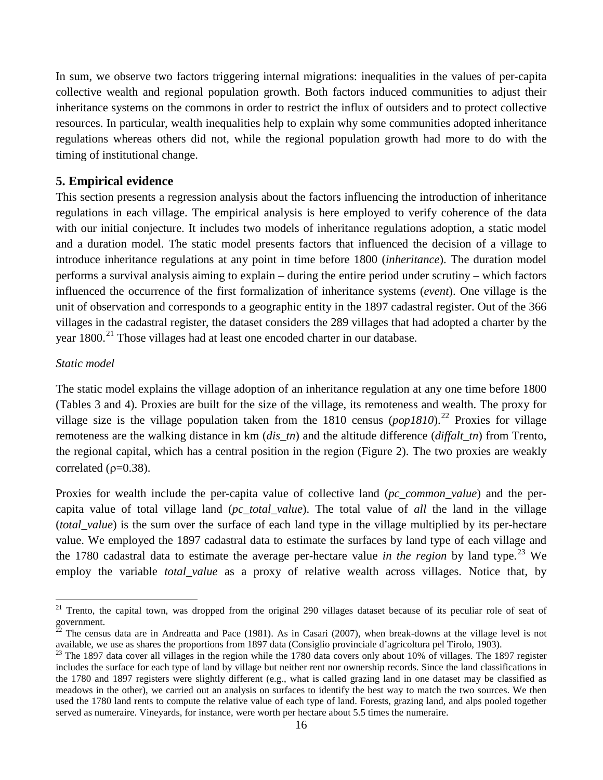In sum, we observe two factors triggering internal migrations: inequalities in the values of per-capita collective wealth and regional population growth. Both factors induced communities to adjust their inheritance systems on the commons in order to restrict the influx of outsiders and to protect collective resources. In particular, wealth inequalities help to explain why some communities adopted inheritance regulations whereas others did not, while the regional population growth had more to do with the timing of institutional change.

### **5. Empirical evidence**

This section presents a regression analysis about the factors influencing the introduction of inheritance regulations in each village. The empirical analysis is here employed to verify coherence of the data with our initial conjecture. It includes two models of inheritance regulations adoption, a static model and a duration model. The static model presents factors that influenced the decision of a village to introduce inheritance regulations at any point in time before 1800 (*inheritance*). The duration model performs a survival analysis aiming to explain – during the entire period under scrutiny – which factors influenced the occurrence of the first formalization of inheritance systems (*event*). One village is the unit of observation and corresponds to a geographic entity in the 1897 cadastral register. Out of the 366 villages in the cadastral register, the dataset considers the 289 villages that had adopted a charter by the year 1800.<sup>21</sup> Those villages had at least one encoded charter in our database.

#### *Static model*

l

The static model explains the village adoption of an inheritance regulation at any one time before 1800 (Tables 3 and 4). Proxies are built for the size of the village, its remoteness and wealth. The proxy for village size is the village population taken from the 1810 census  $(pop1810)$ <sup>[22](#page-18-0)</sup> Proxies for village remoteness are the walking distance in km (*dis\_tn*) and the altitude difference (*diffalt\_tn*) from Trento, the regional capital, which has a central position in the region (Figure 2). The two proxies are weakly correlated ( $\rho$ =0.38).

Proxies for wealth include the per-capita value of collective land (*pc\_common\_value*) and the percapita value of total village land (*pc\_total\_value*). The total value of *all* the land in the village (*total\_value*) is the sum over the surface of each land type in the village multiplied by its per-hectare value. We employed the 1897 cadastral data to estimate the surfaces by land type of each village and the 1780 cadastral data to estimate the average per-hectare value *in the region* by land type.<sup>[23](#page-18-1)</sup> We employ the variable *total\_value* as a proxy of relative wealth across villages. Notice that, by

<sup>&</sup>lt;sup>21</sup> Trento, the capital town, was dropped from the original 290 villages dataset because of its peculiar role of seat of government.<br><sup>22</sup> The census data are in Andreatta and Pace (1981). As in Casari (2007), when break-downs at the village level is not

<span id="page-18-2"></span><span id="page-18-0"></span>available, we use as shares the proportions from 1897 data (Consiglio provinciale d'agricoltura pel Tirolo, 1903).

<span id="page-18-1"></span> $^{23}$  The 1897 data cover all villages in the region while the 1780 data covers only about 10% of villages. The 1897 register includes the surface for each type of land by village but neither rent nor ownership records. Since the land classifications in the 1780 and 1897 registers were slightly different (e.g., what is called grazing land in one dataset may be classified as meadows in the other), we carried out an analysis on surfaces to identify the best way to match the two sources. We then used the 1780 land rents to compute the relative value of each type of land. Forests, grazing land, and alps pooled together served as numeraire. Vineyards, for instance, were worth per hectare about 5.5 times the numeraire.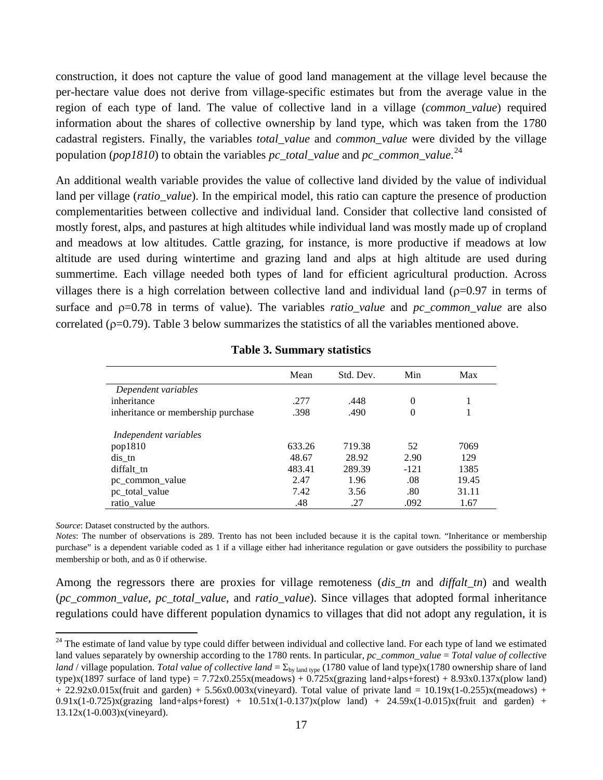construction, it does not capture the value of good land management at the village level because the per-hectare value does not derive from village-specific estimates but from the average value in the region of each type of land. The value of collective land in a village (*common\_value*) required information about the shares of collective ownership by land type, which was taken from the 1780 cadastral registers. Finally, the variables *total\_value* and *common\_value* were divided by the village population (*pop1810*) to obtain the variables *pc\_total\_value* and *pc\_common\_value*. [24](#page-18-2) 

An additional wealth variable provides the value of collective land divided by the value of individual land per village (*ratio\_value*). In the empirical model, this ratio can capture the presence of production complementarities between collective and individual land. Consider that collective land consisted of mostly forest, alps, and pastures at high altitudes while individual land was mostly made up of cropland and meadows at low altitudes. Cattle grazing, for instance, is more productive if meadows at low altitude are used during wintertime and grazing land and alps at high altitude are used during summertime. Each village needed both types of land for efficient agricultural production. Across villages there is a high correlation between collective land and individual land ( $\rho$ =0.97 in terms of surface and ρ=0.78 in terms of value). The variables *ratio\_value* and *pc\_common\_value* are also correlated ( $p=0.79$ ). Table 3 below summarizes the statistics of all the variables mentioned above.

|                                    | Mean   | Std. Dev. | Min    | Max   |
|------------------------------------|--------|-----------|--------|-------|
| Dependent variables                |        |           |        |       |
| inheritance                        | .277   | .448      | 0      |       |
| inheritance or membership purchase | .398   | .490      | 0      |       |
| Independent variables              |        |           |        |       |
| pop1810                            | 633.26 | 719.38    | 52     | 7069  |
| $dis$ _tn                          | 48.67  | 28.92     | 2.90   | 129   |
| diffalt_tn                         | 483.41 | 289.39    | $-121$ | 1385  |
| pc common value                    | 2.47   | 1.96      | .08    | 19.45 |
| pc_total_value                     | 7.42   | 3.56      | .80    | 31.11 |
| ratio_value                        | .48    | .27       | .092   | 1.67  |

#### **Table 3. Summary statistics**

*Source*: Dataset constructed by the authors.

l

*Notes*: The number of observations is 289. Trento has not been included because it is the capital town. "Inheritance or membership purchase" is a dependent variable coded as 1 if a village either had inheritance regulation or gave outsiders the possibility to purchase membership or both, and as 0 if otherwise.

Among the regressors there are proxies for village remoteness (*dis\_tn* and *diffalt\_tn*) and wealth (*pc\_common\_value*, *pc\_total\_value*, and *ratio\_value*). Since villages that adopted formal inheritance regulations could have different population dynamics to villages that did not adopt any regulation, it is

<span id="page-19-0"></span><sup>&</sup>lt;sup>24</sup> The estimate of land value by type could differ between individual and collective land. For each type of land we estimated land values separately by ownership according to the 1780 rents. In particular, *pc\_common\_value* = *Total value of collective land* / village population. *Total value of collective land* =  $\Sigma_{\text{bv land type}}$  (1780 value of land type)x(1780 ownership share of land type)x(1897 surface of land type) =  $7.72x0.255x$ (meadows) +  $0.725x$ (grazing land+alps+forest) +  $8.93x0.137x$ (plow land)  $+ 22.92x0.015x$ (fruit and garden) + 5.56x0.003x(vineyard). Total value of private land =  $10.19x(1-0.255)x$ (meadows) +  $0.91x(1-0.725)x(grazing$  land+alps+forest) +  $10.51x(1-0.137)x(plow$  land) +  $24.59x(1-0.015)x(fruit$  and garden) + 13.12x(1-0.003)x(vineyard).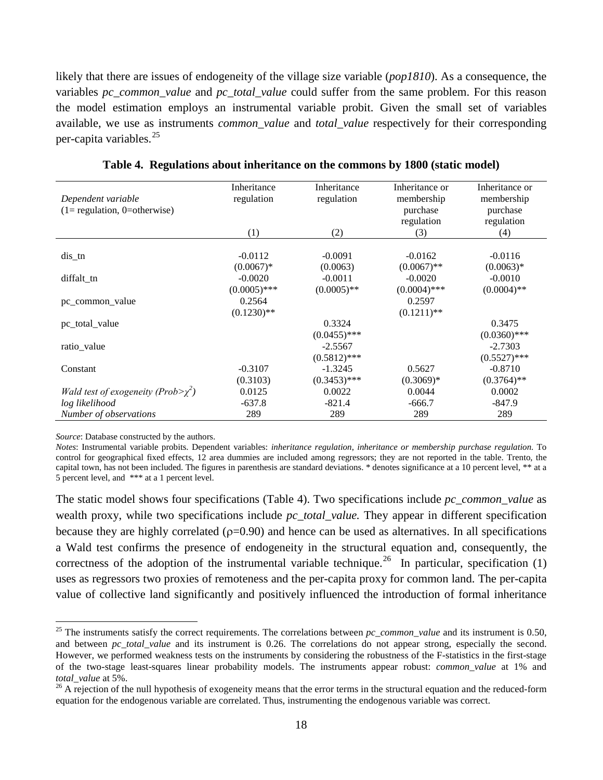likely that there are issues of endogeneity of the village size variable (*pop1810*). As a consequence, the variables *pc\_common\_value* and *pc\_total\_value* could suffer from the same problem. For this reason the model estimation employs an instrumental variable probit. Given the small set of variables available, we use as instruments *common\_value* and *total\_value* respectively for their corresponding per-capita variables. $^{25}$ 

| Dependent variable                        | Inheritance<br>regulation | Inheritance<br>regulation | Inheritance or<br>membership | Inheritance or<br>membership |
|-------------------------------------------|---------------------------|---------------------------|------------------------------|------------------------------|
| $(1 =$ regulation, 0=otherwise)           |                           |                           | purchase                     | purchase                     |
|                                           |                           |                           | regulation                   | regulation                   |
|                                           | (1)                       | (2)                       | (3)                          | (4)                          |
|                                           |                           |                           |                              |                              |
| $dis$ _tn                                 | $-0.0112$                 | $-0.0091$                 | $-0.0162$                    | $-0.0116$                    |
|                                           | $(0.0067)*$               | (0.0063)                  | $(0.0067)$ **                | $(0.0063)*$                  |
| diffalt tn                                | $-0.0020$                 | $-0.0011$                 | $-0.0020$                    | $-0.0010$                    |
|                                           | $(0.0005)$ ***            | $(0.0005)$ **             | $(0.0004)$ ***               | $(0.0004)$ **                |
| pc common value                           | 0.2564                    |                           | 0.2597                       |                              |
|                                           | $(0.1230)$ **             |                           | $(0.1211)$ **                |                              |
| pc_total_value                            |                           | 0.3324                    |                              | 0.3475                       |
|                                           |                           | $(0.0455)$ ***            |                              | $(0.0360)$ ***               |
| ratio_value                               |                           | $-2.5567$                 |                              | $-2.7303$                    |
|                                           |                           | $(0.5812)$ ***            |                              | $(0.5527)$ ***               |
| Constant                                  | $-0.3107$                 | $-1.3245$                 | 0.5627                       | $-0.8710$                    |
|                                           | (0.3103)                  | $(0.3453)$ ***            | $(0.3069)*$                  | $(0.3764)$ **                |
| Wald test of exogeneity ( $Prob>\chi^2$ ) | 0.0125                    | 0.0022                    | 0.0044                       | 0.0002                       |
| log likelihood                            | $-637.8$                  | $-821.4$                  | $-666.7$                     | $-847.9$                     |
| Number of observations                    | 289                       | 289                       | 289                          | 289                          |

**Table 4. Regulations about inheritance on the commons by 1800 (static model)** 

*Source*: Database constructed by the authors.

<span id="page-20-1"></span> $\overline{\phantom{a}}$ 

*Notes*: Instrumental variable probits. Dependent variables: *inheritance regulation*, *inheritance or membership purchase regulation*. To control for geographical fixed effects, 12 area dummies are included among regressors; they are not reported in the table. Trento, the capital town, has not been included. The figures in parenthesis are standard deviations. \* denotes significance at a 10 percent level, \*\* at a 5 percent level, and \*\*\* at a 1 percent level.

The static model shows four specifications (Table 4). Two specifications include *pc\_common\_value* as wealth proxy, while two specifications include *pc\_total\_value.* They appear in different specification because they are highly correlated ( $\rho$ =0.90) and hence can be used as alternatives. In all specifications a Wald test confirms the presence of endogeneity in the structural equation and, consequently, the correctness of the adoption of the instrumental variable technique.<sup>[26](#page-20-0)</sup> In particular, specification (1) uses as regressors two proxies of remoteness and the per-capita proxy for common land. The per-capita value of collective land significantly and positively influenced the introduction of formal inheritance

<sup>&</sup>lt;sup>25</sup> The instruments satisfy the correct requirements. The correlations between  $pc\_common\_value$  and its instrument is 0.50, and between *pc\_total\_value* and its instrument is 0.26. The correlations do not appear strong, especially the second. However, we performed weakness tests on the instruments by considering the robustness of the F-statistics in the first-stage of the two-stage least-squares linear probability models. The instruments appear robust: *common\_value* at 1% and *total\_value* at 5%.<br><sup>26</sup> A rejection of the null hypothesis of exogeneity means that the error terms in the structural equation and the reduced-form

<span id="page-20-0"></span>equation for the endogenous variable are correlated. Thus, instrumenting the endogenous variable was correct.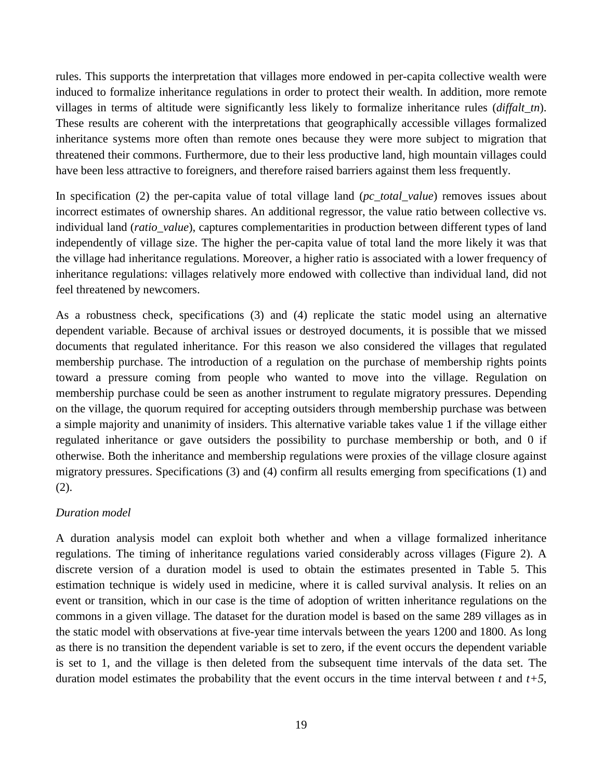rules. This supports the interpretation that villages more endowed in per-capita collective wealth were induced to formalize inheritance regulations in order to protect their wealth. In addition, more remote villages in terms of altitude were significantly less likely to formalize inheritance rules (*diffalt\_tn*). These results are coherent with the interpretations that geographically accessible villages formalized inheritance systems more often than remote ones because they were more subject to migration that threatened their commons. Furthermore, due to their less productive land, high mountain villages could have been less attractive to foreigners, and therefore raised barriers against them less frequently.

In specification (2) the per-capita value of total village land (*pc\_total\_value*) removes issues about incorrect estimates of ownership shares. An additional regressor, the value ratio between collective vs. individual land (*ratio\_value*), captures complementarities in production between different types of land independently of village size. The higher the per-capita value of total land the more likely it was that the village had inheritance regulations. Moreover, a higher ratio is associated with a lower frequency of inheritance regulations: villages relatively more endowed with collective than individual land, did not feel threatened by newcomers.

As a robustness check, specifications (3) and (4) replicate the static model using an alternative dependent variable. Because of archival issues or destroyed documents, it is possible that we missed documents that regulated inheritance. For this reason we also considered the villages that regulated membership purchase. The introduction of a regulation on the purchase of membership rights points toward a pressure coming from people who wanted to move into the village. Regulation on membership purchase could be seen as another instrument to regulate migratory pressures. Depending on the village, the quorum required for accepting outsiders through membership purchase was between a simple majority and unanimity of insiders. This alternative variable takes value 1 if the village either regulated inheritance or gave outsiders the possibility to purchase membership or both, and 0 if otherwise. Both the inheritance and membership regulations were proxies of the village closure against migratory pressures. Specifications (3) and (4) confirm all results emerging from specifications (1) and (2).

#### *Duration model*

A duration analysis model can exploit both whether and when a village formalized inheritance regulations. The timing of inheritance regulations varied considerably across villages (Figure 2). A discrete version of a duration model is used to obtain the estimates presented in Table 5. This estimation technique is widely used in medicine, where it is called survival analysis. It relies on an event or transition, which in our case is the time of adoption of written inheritance regulations on the commons in a given village. The dataset for the duration model is based on the same 289 villages as in the static model with observations at five-year time intervals between the years 1200 and 1800. As long as there is no transition the dependent variable is set to zero, if the event occurs the dependent variable is set to 1, and the village is then deleted from the subsequent time intervals of the data set. The duration model estimates the probability that the event occurs in the time interval between  $t$  and  $t+5$ ,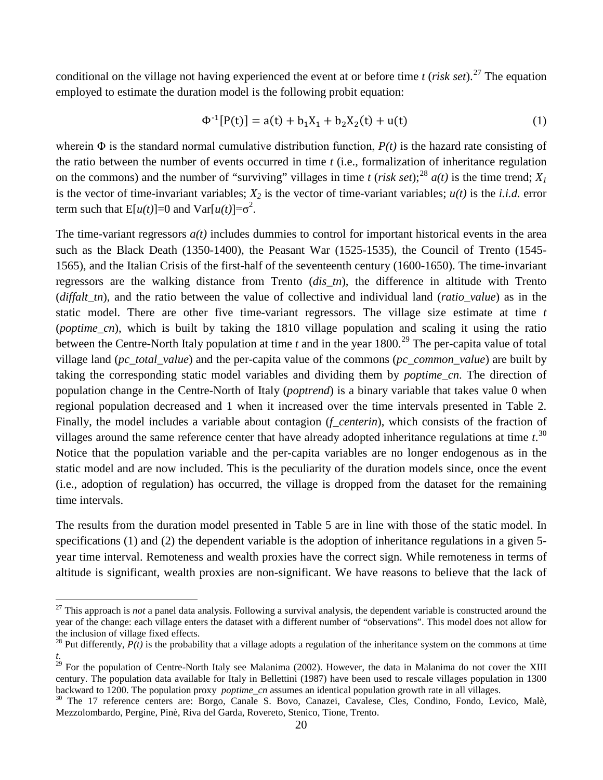conditional on the village not having experienced the event at or before time  $t$  (*risk set*).<sup>[27](#page-20-1)</sup> The equation employed to estimate the duration model is the following probit equation:

$$
\Phi^{-1}[P(t)] = a(t) + b_1 X_1 + b_2 X_2(t) + u(t)
$$
\n(1)

wherein  $\Phi$  is the standard normal cumulative distribution function,  $P(t)$  is the hazard rate consisting of the ratio between the number of events occurred in time *t* (i.e., formalization of inheritance regulation on the commons) and the number of "surviving" villages in time *t* (*risk set*);<sup>[28](#page-22-0)</sup>  $a(t)$  is the time trend;  $X<sub>1</sub>$ is the vector of time-invariant variables;  $X_2$  is the vector of time-variant variables;  $u(t)$  is the *i.i.d.* error term such that  $E[u(t)] = 0$  and  $Var[u(t)] = \sigma^2$ .

The time-variant regressors *a(t)* includes dummies to control for important historical events in the area such as the Black Death (1350-1400), the Peasant War (1525-1535), the Council of Trento (1545- 1565), and the Italian Crisis of the first-half of the seventeenth century (1600-1650). The time-invariant regressors are the walking distance from Trento (*dis\_tn*), the difference in altitude with Trento (*diffalt\_tn*), and the ratio between the value of collective and individual land (*ratio\_value*) as in the static model. There are other five time-variant regressors. The village size estimate at time *t* (*poptime\_cn*), which is built by taking the 1810 village population and scaling it using the ratio between the Centre-North Italy population at time  $t$  and in the year 1800.<sup>[29](#page-22-1)</sup> The per-capita value of total village land (*pc\_total\_value*) and the per-capita value of the commons (*pc\_common\_value*) are built by taking the corresponding static model variables and dividing them by *poptime\_cn*. The direction of population change in the Centre-North of Italy (*poptrend*) is a binary variable that takes value 0 when regional population decreased and 1 when it increased over the time intervals presented in Table 2. Finally, the model includes a variable about contagion (*f\_centerin*), which consists of the fraction of villages around the same reference center that have already adopted inheritance regulations at time *t*. [30](#page-22-2) Notice that the population variable and the per-capita variables are no longer endogenous as in the static model and are now included. This is the peculiarity of the duration models since, once the event (i.e., adoption of regulation) has occurred, the village is dropped from the dataset for the remaining time intervals.

The results from the duration model presented in Table 5 are in line with those of the static model. In specifications (1) and (2) the dependent variable is the adoption of inheritance regulations in a given 5 year time interval. Remoteness and wealth proxies have the correct sign. While remoteness in terms of altitude is significant, wealth proxies are non-significant. We have reasons to believe that the lack of

l

<sup>&</sup>lt;sup>27</sup> This approach is *not* a panel data analysis. Following a survival analysis, the dependent variable is constructed around the year of the change: each village enters the dataset with a different number of "observations". This model does not allow for the inclusion of village fixed effects.<br><sup>28</sup> Put differently,  $P(t)$  is the probability that a village adopts a regulation of the inheritance system on the commons at time

<span id="page-22-0"></span>*t*.

<span id="page-22-1"></span> $^{29}$  For the population of Centre-North Italy see Malanima (2002). However, the data in Malanima do not cover the XIII century. The population data available for Italy in Bellettini (1987) have been used to rescale villages population in 1300 backward to 1200. The population proxy *poptime\_cn* assumes an identical population growth rate i

<span id="page-22-2"></span><sup>&</sup>lt;sup>30</sup> The 17 reference centers are: Borgo, Canale S. Bovo, Canazei, Cavalese, Cles, Condino, Fondo, Levico, Malè, Mezzolombardo, Pergine, Pinè, Riva del Garda, Rovereto, Stenico, Tione, Trento.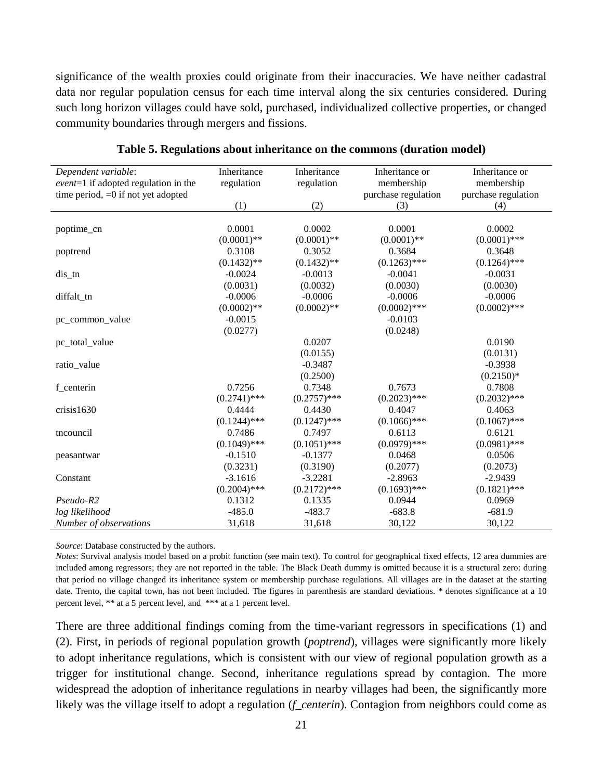significance of the wealth proxies could originate from their inaccuracies. We have neither cadastral data nor regular population census for each time interval along the six centuries considered. During such long horizon villages could have sold, purchased, individualized collective properties, or changed community boundaries through mergers and fissions.

| Dependent variable:                    | Inheritance    | Inheritance    | Inheritance or      | Inheritance or      |
|----------------------------------------|----------------|----------------|---------------------|---------------------|
| $event=1$ if adopted regulation in the | regulation     | regulation     | membership          | membership          |
| time period, $=0$ if not yet adopted   |                |                | purchase regulation | purchase regulation |
|                                        | (1)            | (2)            | (3)                 | (4)                 |
|                                        |                |                |                     |                     |
| poptime_cn                             | 0.0001         | 0.0002         | 0.0001              | 0.0002              |
|                                        | $(0.0001)$ **  | $(0.0001)$ **  | $(0.0001)$ **       | $(0.0001)$ ***      |
| poptrend                               | 0.3108         | 0.3052         | 0.3684              | 0.3648              |
|                                        | $(0.1432)$ **  | $(0.1432)$ **  | $(0.1263)$ ***      | $(0.1264)$ ***      |
| $dis$ _tn                              | $-0.0024$      | $-0.0013$      | $-0.0041$           | $-0.0031$           |
|                                        | (0.0031)       | (0.0032)       | (0.0030)            | (0.0030)            |
| diffalt_tn                             | $-0.0006$      | $-0.0006$      | $-0.0006$           | $-0.0006$           |
|                                        | $(0.0002)$ **  | $(0.0002)$ **  | $(0.0002)$ ***      | $(0.0002)$ ***      |
| pc_common_value                        | $-0.0015$      |                | $-0.0103$           |                     |
|                                        | (0.0277)       |                | (0.0248)            |                     |
| pc_total_value                         |                | 0.0207         |                     | 0.0190              |
|                                        |                | (0.0155)       |                     | (0.0131)            |
| ratio_value                            |                | $-0.3487$      |                     | $-0.3938$           |
|                                        |                | (0.2500)       |                     | $(0.2150)*$         |
| f_centerin                             | 0.7256         | 0.7348         | 0.7673              | 0.7808              |
|                                        | $(0.2741)$ *** | $(0.2757)$ *** | $(0.2023)$ ***      | $(0.2032)$ ***      |
| crisis1630                             | 0.4444         | 0.4430         | 0.4047              | 0.4063              |
|                                        | $(0.1244)$ *** | $(0.1247)$ *** | $(0.1066)$ ***      | $(0.1067)$ ***      |
| tncouncil                              | 0.7486         | 0.7497         | 0.6113              | 0.6121              |
|                                        | $(0.1049)$ *** | $(0.1051)$ *** | $(0.0979)$ ***      | $(0.0981)$ ***      |
| peasantwar                             | $-0.1510$      | $-0.1377$      | 0.0468              | 0.0506              |
|                                        | (0.3231)       | (0.3190)       | (0.2077)            | (0.2073)            |
| Constant                               | $-3.1616$      | $-3.2281$      | $-2.8963$           | $-2.9439$           |
|                                        | $(0.2004)$ *** | $(0.2172)$ *** | $(0.1693)$ ***      | $(0.1821)$ ***      |
| $Pseudo-R2$                            | 0.1312         | 0.1335         | 0.0944              | 0.0969              |
| log likelihood                         | $-485.0$       | $-483.7$       | $-683.8$            | $-681.9$            |
| Number of observations                 | 31,618         | 31,618         | 30,122              | 30,122              |

**Table 5. Regulations about inheritance on the commons (duration model)**

*Source*: Database constructed by the authors.

*Notes*: Survival analysis model based on a probit function (see main text). To control for geographical fixed effects, 12 area dummies are included among regressors; they are not reported in the table. The Black Death dummy is omitted because it is a structural zero: during that period no village changed its inheritance system or membership purchase regulations. All villages are in the dataset at the starting date. Trento, the capital town, has not been included. The figures in parenthesis are standard deviations. \* denotes significance at a 10 percent level, \*\* at a 5 percent level, and \*\*\* at a 1 percent level.

There are three additional findings coming from the time-variant regressors in specifications (1) and (2). First, in periods of regional population growth (*poptrend*), villages were significantly more likely to adopt inheritance regulations, which is consistent with our view of regional population growth as a trigger for institutional change. Second, inheritance regulations spread by contagion. The more widespread the adoption of inheritance regulations in nearby villages had been, the significantly more likely was the village itself to adopt a regulation (*f\_centerin*). Contagion from neighbors could come as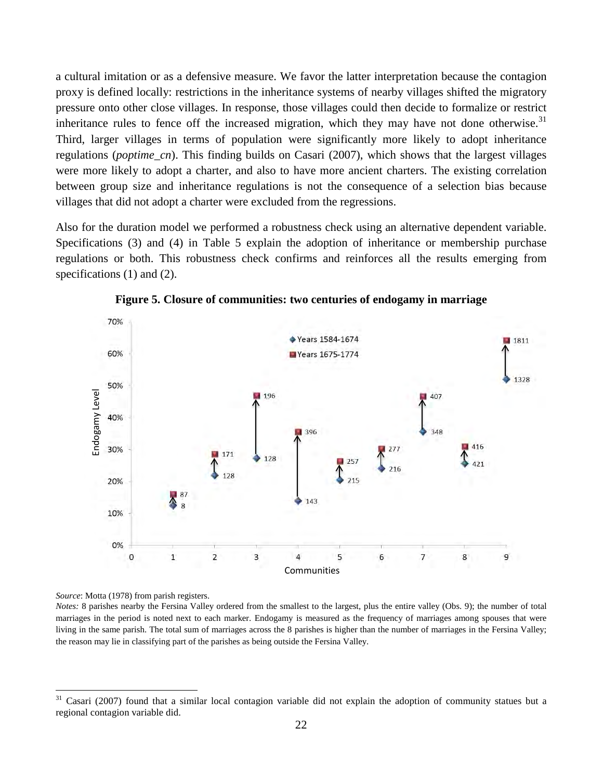a cultural imitation or as a defensive measure. We favor the latter interpretation because the contagion proxy is defined locally: restrictions in the inheritance systems of nearby villages shifted the migratory pressure onto other close villages. In response, those villages could then decide to formalize or restrict inheritance rules to fence off the increased migration, which they may have not done otherwise.<sup>[31](#page-22-2)</sup> Third, larger villages in terms of population were significantly more likely to adopt inheritance regulations (*poptime\_cn*). This finding builds on Casari (2007), which shows that the largest villages were more likely to adopt a charter, and also to have more ancient charters. The existing correlation between group size and inheritance regulations is not the consequence of a selection bias because villages that did not adopt a charter were excluded from the regressions.

Also for the duration model we performed a robustness check using an alternative dependent variable. Specifications (3) and (4) in Table 5 explain the adoption of inheritance or membership purchase regulations or both. This robustness check confirms and reinforces all the results emerging from specifications (1) and (2).



**Figure 5. Closure of communities: two centuries of endogamy in marriage** 

<span id="page-24-0"></span>*Source*: Motta (1978) from parish registers.

 $\overline{\phantom{a}}$ 

*Notes:* 8 parishes nearby the Fersina Valley ordered from the smallest to the largest, plus the entire valley (Obs. 9); the number of total marriages in the period is noted next to each marker. Endogamy is measured as the frequency of marriages among spouses that were living in the same parish. The total sum of marriages across the 8 parishes is higher than the number of marriages in the Fersina Valley; the reason may lie in classifying part of the parishes as being outside the Fersina Valley.

<sup>31</sup> Casari (2007) found that a similar local contagion variable did not explain the adoption of community statues but a regional contagion variable did.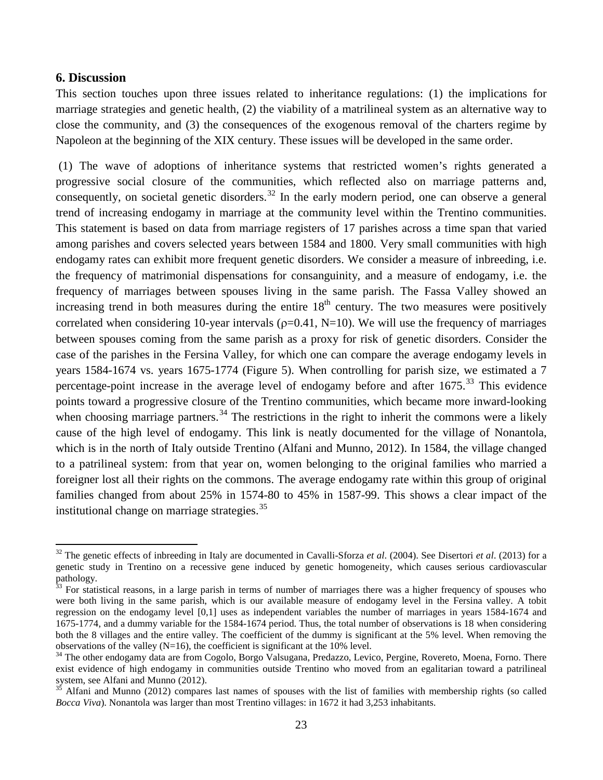#### **6. Discussion**

 $\overline{\phantom{a}}$ 

This section touches upon three issues related to inheritance regulations: (1) the implications for marriage strategies and genetic health, (2) the viability of a matrilineal system as an alternative way to close the community, and (3) the consequences of the exogenous removal of the charters regime by Napoleon at the beginning of the XIX century. These issues will be developed in the same order.

(1) The wave of adoptions of inheritance systems that restricted women's rights generated a progressive social closure of the communities, which reflected also on marriage patterns and, consequently, on societal genetic disorders.<sup>[32](#page-24-0)</sup> In the early modern period, one can observe a general trend of increasing endogamy in marriage at the community level within the Trentino communities. This statement is based on data from marriage registers of 17 parishes across a time span that varied among parishes and covers selected years between 1584 and 1800. Very small communities with high endogamy rates can exhibit more frequent genetic disorders. We consider a measure of inbreeding, i.e. the frequency of matrimonial dispensations for consanguinity, and a measure of endogamy, i.e. the frequency of marriages between spouses living in the same parish. The Fassa Valley showed an increasing trend in both measures during the entire  $18<sup>th</sup>$  century. The two measures were positively correlated when considering 10-year intervals ( $\rho$ =0.41, N=10). We will use the frequency of marriages between spouses coming from the same parish as a proxy for risk of genetic disorders. Consider the case of the parishes in the Fersina Valley, for which one can compare the average endogamy levels in years 1584-1674 vs. years 1675-1774 (Figure 5). When controlling for parish size, we estimated a 7 percentage-point increase in the average level of endogamy before and after 1675.<sup>[33](#page-25-0)</sup> This evidence points toward a progressive closure of the Trentino communities, which became more inward-looking when choosing marriage partners.<sup>[34](#page-25-1)</sup> The restrictions in the right to inherit the commons were a likely cause of the high level of endogamy. This link is neatly documented for the village of Nonantola, which is in the north of Italy outside Trentino (Alfani and Munno, 2012). In 1584, the village changed to a patrilineal system: from that year on, women belonging to the original families who married a foreigner lost all their rights on the commons. The average endogamy rate within this group of original families changed from about 25% in 1574-80 to 45% in 1587-99. This shows a clear impact of the institutional change on marriage strategies. [35](#page-25-2)

<sup>32</sup> The genetic effects of inbreeding in Italy are documented in Cavalli-Sforza *et al*. (2004). See Disertori *et al*. (2013) for a genetic study in Trentino on a recessive gene induced by genetic homogeneity, which causes serious cardiovascular pathology.<br><sup>33</sup> For statistical reasons, in a large parish in terms of number of marriages there was a higher frequency of spouses who

<span id="page-25-0"></span>were both living in the same parish, which is our available measure of endogamy level in the Fersina valley. A tobit regression on the endogamy level [0,1] uses as independent variables the number of marriages in years 1584-1674 and 1675-1774, and a dummy variable for the 1584-1674 period. Thus, the total number of observations is 18 when considering both the 8 villages and the entire valley. The coefficient of the dummy is significant at the 5% level. When removing the observations of the valley  $(N=16)$ , the coefficient is significant at the 10% level.

<span id="page-25-3"></span><span id="page-25-1"></span><sup>&</sup>lt;sup>34</sup> The other endogamy data are from Cogolo, Borgo Valsugana, Predazzo, Levico, Pergine, Rovereto, Moena, Forno. There exist evidence of high endogamy in communities outside Trentino who moved from an egalitarian toward a patrilineal system, see Alfani and Munno (2012).<br><sup>35</sup> Alfani and Munno (2012) compares last names of spouses with the list of families with membership rights (so called

<span id="page-25-2"></span>*Bocca Viva*). Nonantola was larger than most Trentino villages: in 1672 it had 3,253 inhabitants.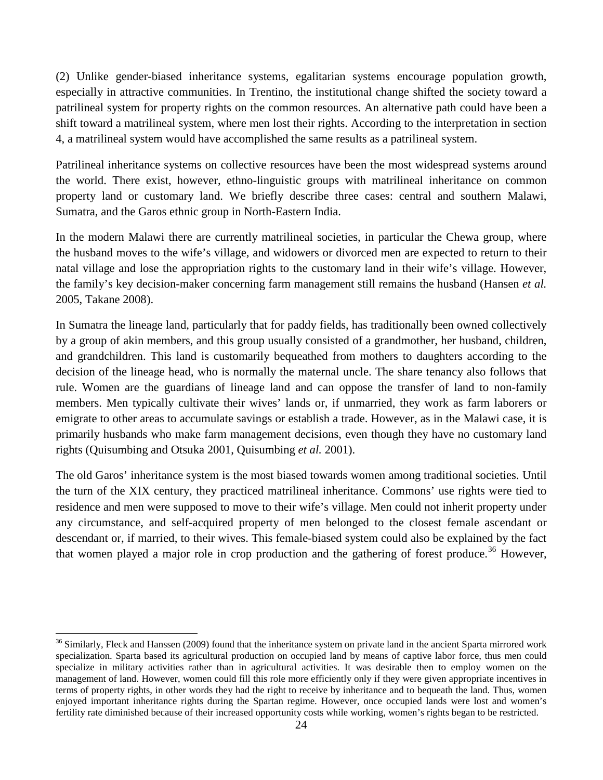(2) Unlike gender-biased inheritance systems, egalitarian systems encourage population growth, especially in attractive communities. In Trentino, the institutional change shifted the society toward a patrilineal system for property rights on the common resources. An alternative path could have been a shift toward a matrilineal system, where men lost their rights. According to the interpretation in section 4, a matrilineal system would have accomplished the same results as a patrilineal system.

Patrilineal inheritance systems on collective resources have been the most widespread systems around the world. There exist, however, ethno-linguistic groups with matrilineal inheritance on common property land or customary land. We briefly describe three cases: central and southern Malawi, Sumatra, and the Garos ethnic group in North-Eastern India.

In the modern Malawi there are currently matrilineal societies, in particular the Chewa group, where the husband moves to the wife's village, and widowers or divorced men are expected to return to their natal village and lose the appropriation rights to the customary land in their wife's village. However, the family's key decision-maker concerning farm management still remains the husband (Hansen *et al.* 2005, Takane 2008).

In Sumatra the lineage land, particularly that for paddy fields, has traditionally been owned collectively by a group of akin members, and this group usually consisted of a grandmother, her husband, children, and grandchildren. This land is customarily bequeathed from mothers to daughters according to the decision of the lineage head, who is normally the maternal uncle. The share tenancy also follows that rule. Women are the guardians of lineage land and can oppose the transfer of land to non-family members. Men typically cultivate their wives' lands or, if unmarried, they work as farm laborers or emigrate to other areas to accumulate savings or establish a trade. However, as in the Malawi case, it is primarily husbands who make farm management decisions, even though they have no customary land rights (Quisumbing and Otsuka 2001, Quisumbing *et al.* 2001).

The old Garos' inheritance system is the most biased towards women among traditional societies. Until the turn of the XIX century, they practiced matrilineal inheritance. Commons' use rights were tied to residence and men were supposed to move to their wife's village. Men could not inherit property under any circumstance, and self-acquired property of men belonged to the closest female ascendant or descendant or, if married, to their wives. This female-biased system could also be explained by the fact that women played a major role in crop production and the gathering of forest produce.<sup>[36](#page-25-3)</sup> However,

l

<span id="page-26-0"></span> $36$  Similarly, Fleck and Hanssen (2009) found that the inheritance system on private land in the ancient Sparta mirrored work specialization. Sparta based its agricultural production on occupied land by means of captive labor force, thus men could specialize in military activities rather than in agricultural activities. It was desirable then to employ women on the management of land. However, women could fill this role more efficiently only if they were given appropriate incentives in terms of property rights, in other words they had the right to receive by inheritance and to bequeath the land. Thus, women enjoyed important inheritance rights during the Spartan regime. However, once occupied lands were lost and women's fertility rate diminished because of their increased opportunity costs while working, women's rights began to be restricted.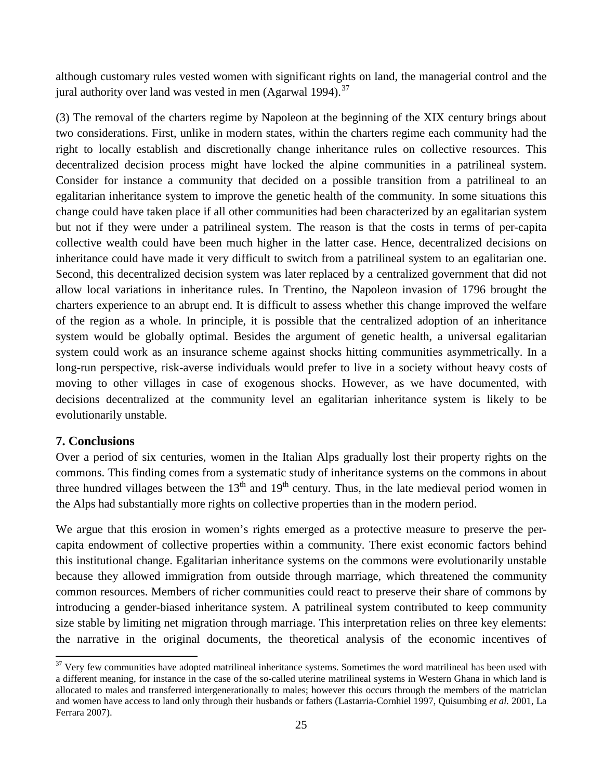although customary rules vested women with significant rights on land, the managerial control and the jural authority over land was vested in men (Agarwal 1994). $37$ 

(3) The removal of the charters regime by Napoleon at the beginning of the XIX century brings about two considerations. First, unlike in modern states, within the charters regime each community had the right to locally establish and discretionally change inheritance rules on collective resources. This decentralized decision process might have locked the alpine communities in a patrilineal system. Consider for instance a community that decided on a possible transition from a patrilineal to an egalitarian inheritance system to improve the genetic health of the community. In some situations this change could have taken place if all other communities had been characterized by an egalitarian system but not if they were under a patrilineal system. The reason is that the costs in terms of per-capita collective wealth could have been much higher in the latter case. Hence, decentralized decisions on inheritance could have made it very difficult to switch from a patrilineal system to an egalitarian one. Second, this decentralized decision system was later replaced by a centralized government that did not allow local variations in inheritance rules. In Trentino, the Napoleon invasion of 1796 brought the charters experience to an abrupt end. It is difficult to assess whether this change improved the welfare of the region as a whole. In principle, it is possible that the centralized adoption of an inheritance system would be globally optimal. Besides the argument of genetic health, a universal egalitarian system could work as an insurance scheme against shocks hitting communities asymmetrically. In a long-run perspective, risk-averse individuals would prefer to live in a society without heavy costs of moving to other villages in case of exogenous shocks. However, as we have documented, with decisions decentralized at the community level an egalitarian inheritance system is likely to be evolutionarily unstable.

# **7. Conclusions**

 $\overline{\phantom{a}}$ 

Over a period of six centuries, women in the Italian Alps gradually lost their property rights on the commons. This finding comes from a systematic study of inheritance systems on the commons in about three hundred villages between the  $13<sup>th</sup>$  and  $19<sup>th</sup>$  century. Thus, in the late medieval period women in the Alps had substantially more rights on collective properties than in the modern period.

We argue that this erosion in women's rights emerged as a protective measure to preserve the percapita endowment of collective properties within a community. There exist economic factors behind this institutional change. Egalitarian inheritance systems on the commons were evolutionarily unstable because they allowed immigration from outside through marriage, which threatened the community common resources. Members of richer communities could react to preserve their share of commons by introducing a gender-biased inheritance system. A patrilineal system contributed to keep community size stable by limiting net migration through marriage. This interpretation relies on three key elements: the narrative in the original documents, the theoretical analysis of the economic incentives of

 $37$  Very few communities have adopted matrilineal inheritance systems. Sometimes the word matrilineal has been used with a different meaning, for instance in the case of the so-called uterine matrilineal systems in Western Ghana in which land is allocated to males and transferred intergenerationally to males; however this occurs through the members of the matriclan and women have access to land only through their husbands or fathers (Lastarria-Cornhiel 1997, Quisumbing *et al.* 2001, La Ferrara 2007).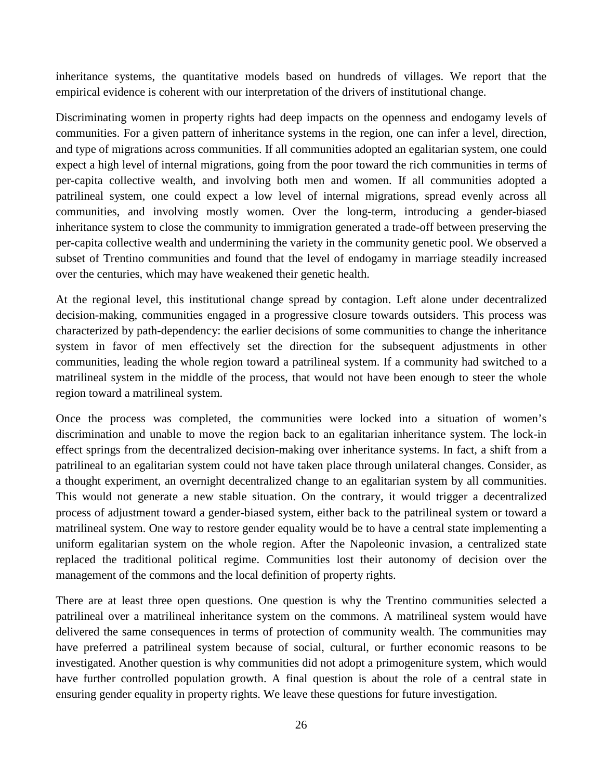inheritance systems, the quantitative models based on hundreds of villages. We report that the empirical evidence is coherent with our interpretation of the drivers of institutional change.

Discriminating women in property rights had deep impacts on the openness and endogamy levels of communities. For a given pattern of inheritance systems in the region, one can infer a level, direction, and type of migrations across communities. If all communities adopted an egalitarian system, one could expect a high level of internal migrations, going from the poor toward the rich communities in terms of per-capita collective wealth, and involving both men and women. If all communities adopted a patrilineal system, one could expect a low level of internal migrations, spread evenly across all communities, and involving mostly women. Over the long-term, introducing a gender-biased inheritance system to close the community to immigration generated a trade-off between preserving the per-capita collective wealth and undermining the variety in the community genetic pool. We observed a subset of Trentino communities and found that the level of endogamy in marriage steadily increased over the centuries, which may have weakened their genetic health.

At the regional level, this institutional change spread by contagion. Left alone under decentralized decision-making, communities engaged in a progressive closure towards outsiders. This process was characterized by path-dependency: the earlier decisions of some communities to change the inheritance system in favor of men effectively set the direction for the subsequent adjustments in other communities, leading the whole region toward a patrilineal system. If a community had switched to a matrilineal system in the middle of the process, that would not have been enough to steer the whole region toward a matrilineal system.

Once the process was completed, the communities were locked into a situation of women's discrimination and unable to move the region back to an egalitarian inheritance system. The lock-in effect springs from the decentralized decision-making over inheritance systems. In fact, a shift from a patrilineal to an egalitarian system could not have taken place through unilateral changes. Consider, as a thought experiment, an overnight decentralized change to an egalitarian system by all communities. This would not generate a new stable situation. On the contrary, it would trigger a decentralized process of adjustment toward a gender-biased system, either back to the patrilineal system or toward a matrilineal system. One way to restore gender equality would be to have a central state implementing a uniform egalitarian system on the whole region. After the Napoleonic invasion, a centralized state replaced the traditional political regime. Communities lost their autonomy of decision over the management of the commons and the local definition of property rights.

There are at least three open questions. One question is why the Trentino communities selected a patrilineal over a matrilineal inheritance system on the commons. A matrilineal system would have delivered the same consequences in terms of protection of community wealth. The communities may have preferred a patrilineal system because of social, cultural, or further economic reasons to be investigated. Another question is why communities did not adopt a primogeniture system, which would have further controlled population growth. A final question is about the role of a central state in ensuring gender equality in property rights. We leave these questions for future investigation.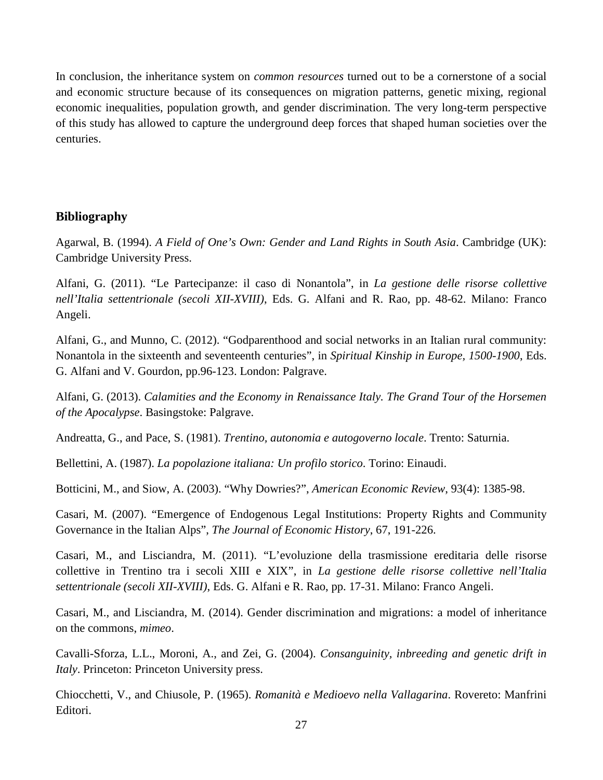In conclusion, the inheritance system on *common resources* turned out to be a cornerstone of a social and economic structure because of its consequences on migration patterns, genetic mixing, regional economic inequalities, population growth, and gender discrimination. The very long-term perspective of this study has allowed to capture the underground deep forces that shaped human societies over the centuries.

# **Bibliography**

Agarwal, B. (1994). *A Field of One's Own: Gender and Land Rights in South Asia*. Cambridge (UK): Cambridge University Press.

Alfani, G. (2011). "Le Partecipanze: il caso di Nonantola", in *La gestione delle risorse collettive nell'Italia settentrionale (secoli XII-XVIII)*, Eds. G. Alfani and R. Rao, pp. 48-62. Milano: Franco Angeli.

Alfani, G., and Munno, C. (2012). "Godparenthood and social networks in an Italian rural community: Nonantola in the sixteenth and seventeenth centuries", in *Spiritual Kinship in Europe, 1500-1900*, Eds. G. Alfani and V. Gourdon, pp.96-123. London: Palgrave.

Alfani, G. (2013). *Calamities and the Economy in Renaissance Italy. The Grand Tour of the Horsemen of the Apocalypse*. Basingstoke: Palgrave.

Andreatta, G., and Pace, S. (1981). *Trentino, autonomia e autogoverno locale*. Trento: Saturnia.

Bellettini, A. (1987). *La popolazione italiana: Un profilo storico*. Torino: Einaudi.

Botticini, M., and Siow, A. (2003). "Why Dowries?", *American Economic Review*, 93(4): 1385-98.

Casari, M. (2007). "Emergence of Endogenous Legal Institutions: Property Rights and Community Governance in the Italian Alps", *The Journal of Economic History*, 67, 191-226.

Casari, M., and Lisciandra, M. (2011). "L'evoluzione della trasmissione ereditaria delle risorse collettive in Trentino tra i secoli XIII e XIX", in *La gestione delle risorse collettive nell'Italia settentrionale (secoli XII-XVIII)*, Eds. G. Alfani e R. Rao, pp. 17-31. Milano: Franco Angeli.

Casari, M., and Lisciandra, M. (2014). Gender discrimination and migrations: a model of inheritance on the commons, *mimeo*.

Cavalli-Sforza, L.L., Moroni, A., and Zei, G. (2004). *Consanguinity, inbreeding and genetic drift in Italy*. Princeton: Princeton University press.

Chiocchetti, V., and Chiusole, P. (1965). *Romanità e Medioevo nella Vallagarina*. Rovereto: Manfrini Editori.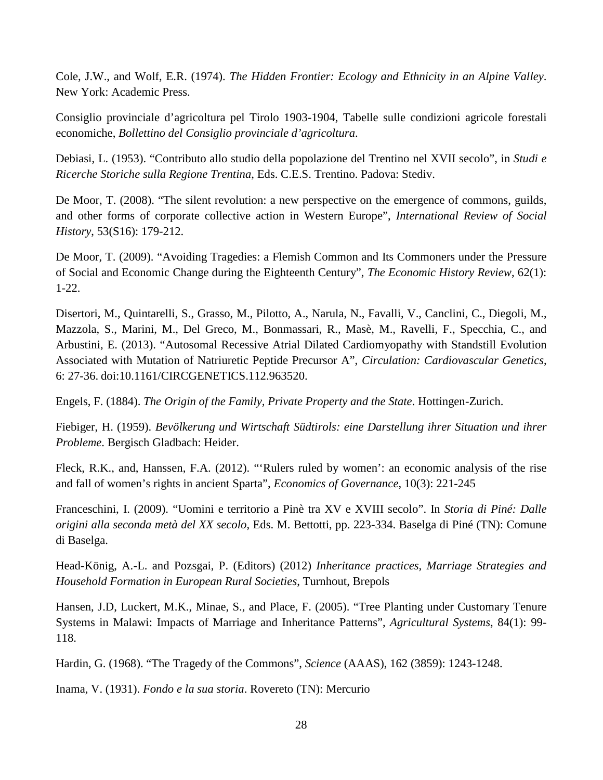Cole, J.W., and Wolf, E.R. (1974). *The Hidden Frontier: Ecology and Ethnicity in an Alpine Valley*. New York: Academic Press.

Consiglio provinciale d'agricoltura pel Tirolo 1903-1904, Tabelle sulle condizioni agricole forestali economiche, *Bollettino del Consiglio provinciale d'agricoltura*.

Debiasi, L. (1953). "Contributo allo studio della popolazione del Trentino nel XVII secolo", in *Studi e Ricerche Storiche sulla Regione Trentina*, Eds. C.E.S. Trentino. Padova: Stediv.

De Moor, T. (2008). "The silent revolution: a new perspective on the emergence of commons, guilds, and other forms of corporate collective action in Western Europe", *International Review of Social History*, 53(S16): 179-212.

De Moor, T. (2009). "Avoiding Tragedies: a Flemish Common and Its Commoners under the Pressure of Social and Economic Change during the Eighteenth Century", *The Economic History Review*, 62(1): 1-22.

Disertori, M., Quintarelli, S., Grasso, M., Pilotto, A., Narula, N., Favalli, V., Canclini, C., Diegoli, M., Mazzola, S., Marini, M., Del Greco, M., Bonmassari, R., Masè, M., Ravelli, F., Specchia, C., and Arbustini, E. (2013). "Autosomal Recessive Atrial Dilated Cardiomyopathy with Standstill Evolution Associated with Mutation of Natriuretic Peptide Precursor A", *Circulation: Cardiovascular Genetics*, 6: 27-36. doi:10.1161/CIRCGENETICS.112.963520.

Engels, F. (1884). *The Origin of the Family, Private Property and the State*. Hottingen-Zurich.

Fiebiger, H. (1959). *Bevölkerung und Wirtschaft Südtirols: eine Darstellung ihrer Situation und ihrer Probleme*. Bergisch Gladbach: Heider.

Fleck, R.K., and, Hanssen, F.A. (2012). "'Rulers ruled by women': an economic analysis of the rise and fall of women's rights in ancient Sparta", *Economics of Governance*, 10(3): 221-245

Franceschini, I. (2009). "Uomini e territorio a Pinè tra XV e XVIII secolo". In *Storia di Piné: Dalle origini alla seconda metà del XX secolo*, Eds. M. Bettotti, pp. 223-334. Baselga di Piné (TN): Comune di Baselga.

Head-König, A.-L. and Pozsgai, P. (Editors) (2012) *Inheritance practices, Marriage Strategies and Household Formation in European Rural Societies*, Turnhout, Brepols

Hansen, J.D, Luckert, M.K., Minae, S., and Place, F. (2005). "Tree Planting under Customary Tenure Systems in Malawi: Impacts of Marriage and Inheritance Patterns", *Agricultural Systems*, 84(1): 99- 118.

Hardin, G. (1968). "The Tragedy of the Commons", *Science* (AAAS), 162 (3859): 1243-1248.

Inama, V. (1931). *Fondo e la sua storia*. Rovereto (TN): Mercurio